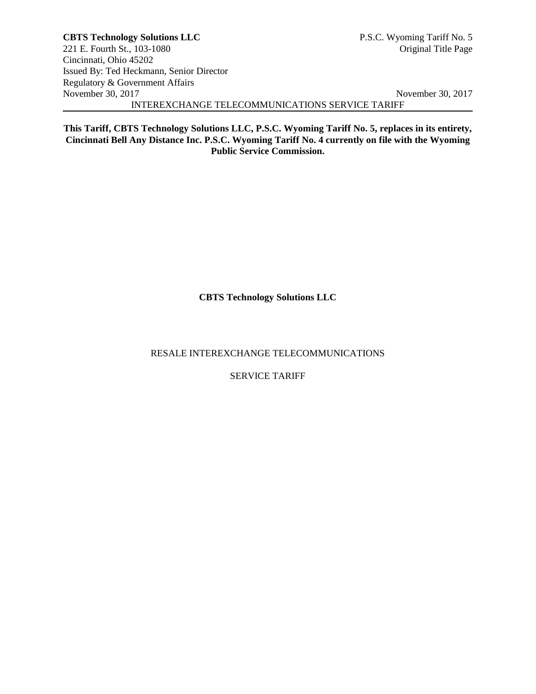**This Tariff, CBTS Technology Solutions LLC, P.S.C. Wyoming Tariff No. 5, replaces in its entirety, Cincinnati Bell Any Distance Inc. P.S.C. Wyoming Tariff No. 4 currently on file with the Wyoming Public Service Commission.**

**CBTS Technology Solutions LLC**

RESALE INTEREXCHANGE TELECOMMUNICATIONS

SERVICE TARIFF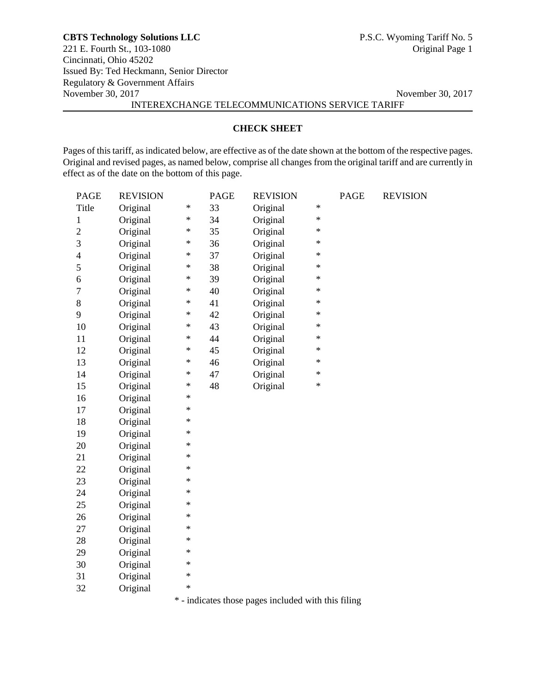# **CHECK SHEET**

Pages of this tariff, as indicated below, are effective as of the date shown at the bottom of the respective pages. Original and revised pages, as named below, comprise all changes from the original tariff and are currently in effect as of the date on the bottom of this page.

| <b>PAGE</b>    | <b>REVISION</b> |        | <b>PAGE</b> | <b>REVISION</b>                                     |        | PAGE | <b>REVISION</b> |
|----------------|-----------------|--------|-------------|-----------------------------------------------------|--------|------|-----------------|
| Title          | Original        | $\ast$ | 33          | Original                                            | $\ast$ |      |                 |
| $\mathbf{1}$   | Original        | $\ast$ | 34          | Original                                            | $\ast$ |      |                 |
| $\overline{c}$ | Original        | $\ast$ | 35          | Original                                            | $\ast$ |      |                 |
| 3              | Original        | $\ast$ | 36          | Original                                            | $\ast$ |      |                 |
| $\overline{4}$ | Original        | $\ast$ | 37          | Original                                            | $\ast$ |      |                 |
| 5              | Original        | $\ast$ | 38          | Original                                            | $\ast$ |      |                 |
| 6              | Original        | $\ast$ | 39          | Original                                            | $\ast$ |      |                 |
| $\tau$         | Original        | $\ast$ | 40          | Original                                            | $\ast$ |      |                 |
| 8              | Original        | $\ast$ | 41          | Original                                            | $\ast$ |      |                 |
| 9              | Original        | $\ast$ | 42          | Original                                            | $\ast$ |      |                 |
| 10             | Original        | $\ast$ | 43          | Original                                            | $\ast$ |      |                 |
| 11             | Original        | $\ast$ | 44          | Original                                            | $\ast$ |      |                 |
| 12             | Original        | $\ast$ | 45          | Original                                            | $\ast$ |      |                 |
| 13             | Original        | $\ast$ | 46          | Original                                            | $\ast$ |      |                 |
| 14             | Original        | $\ast$ | 47          | Original                                            | $\ast$ |      |                 |
| 15             | Original        | $\ast$ | 48          | Original                                            | $\ast$ |      |                 |
| 16             | Original        | $\ast$ |             |                                                     |        |      |                 |
| 17             | Original        | $\ast$ |             |                                                     |        |      |                 |
| 18             | Original        | $\ast$ |             |                                                     |        |      |                 |
| 19             | Original        | $\ast$ |             |                                                     |        |      |                 |
| 20             | Original        | $\ast$ |             |                                                     |        |      |                 |
| 21             | Original        | $\ast$ |             |                                                     |        |      |                 |
| 22             | Original        | $\ast$ |             |                                                     |        |      |                 |
| 23             | Original        | $\ast$ |             |                                                     |        |      |                 |
| 24             | Original        | $\ast$ |             |                                                     |        |      |                 |
| 25             | Original        | $\ast$ |             |                                                     |        |      |                 |
| 26             | Original        | $\ast$ |             |                                                     |        |      |                 |
| 27             | Original        | $\ast$ |             |                                                     |        |      |                 |
| 28             | Original        | $\ast$ |             |                                                     |        |      |                 |
| 29             | Original        | $\ast$ |             |                                                     |        |      |                 |
| 30             | Original        | $\ast$ |             |                                                     |        |      |                 |
| 31             | Original        | $\ast$ |             |                                                     |        |      |                 |
| 32             | Original        | $\ast$ |             |                                                     |        |      |                 |
|                |                 |        |             | * - indicates those pages included with this filing |        |      |                 |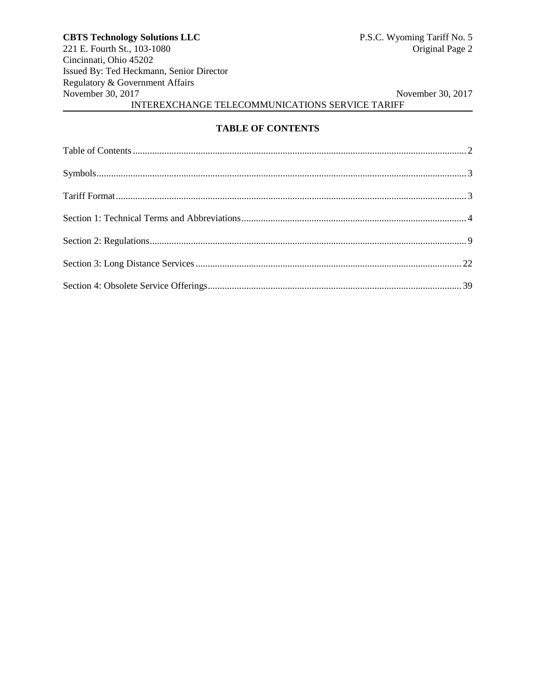# **TABLE OF CONTENTS**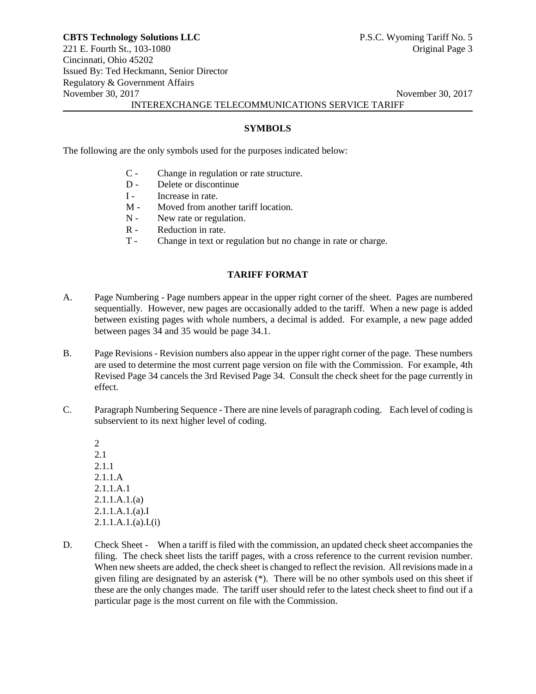**SYMBOLS**

The following are the only symbols used for the purposes indicated below:

- C Change in regulation or rate structure.
- D Delete or discontinue
- I Increase in rate.
- M Moved from another tariff location.
- N New rate or regulation.
- R Reduction in rate.
- T Change in text or regulation but no change in rate or charge.

# **TARIFF FORMAT**

- A. Page Numbering Page numbers appear in the upper right corner of the sheet. Pages are numbered sequentially. However, new pages are occasionally added to the tariff. When a new page is added between existing pages with whole numbers, a decimal is added. For example, a new page added between pages 34 and 35 would be page 34.1.
- B. Page Revisions Revision numbers also appear in the upper right corner of the page. These numbers are used to determine the most current page version on file with the Commission. For example, 4th Revised Page 34 cancels the 3rd Revised Page 34. Consult the check sheet for the page currently in effect.
- C. Paragraph Numbering Sequence There are nine levels of paragraph coding. Each level of coding is subservient to its next higher level of coding.
	- 2 2.1 2.1.1 2.1.1.A 2.1.1.A.1 2.1.1.A.1.(a) 2.1.1.A.1.(a).I  $2.1.1.A.1.(a).I.(i)$
- D. Check Sheet When a tariff is filed with the commission, an updated check sheet accompanies the filing. The check sheet lists the tariff pages, with a cross reference to the current revision number. When new sheets are added, the check sheet is changed to reflect the revision. All revisions made in a given filing are designated by an asterisk (\*). There will be no other symbols used on this sheet if these are the only changes made. The tariff user should refer to the latest check sheet to find out if a particular page is the most current on file with the Commission.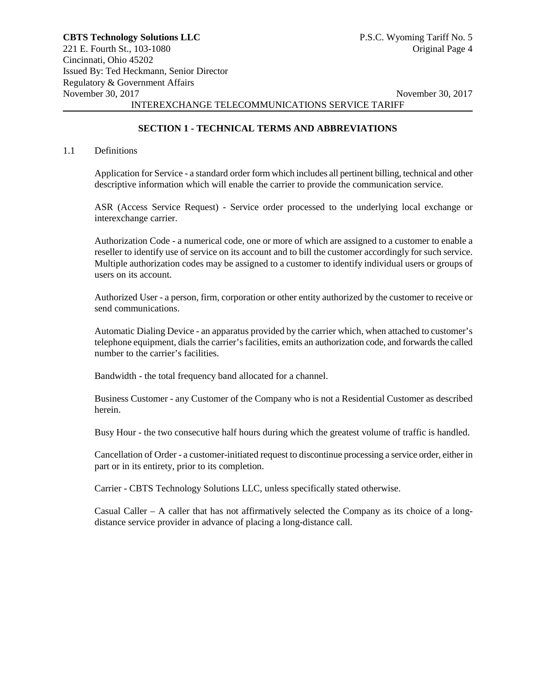# **SECTION 1 - TECHNICAL TERMS AND ABBREVIATIONS**

#### 1.1 Definitions

Application for Service - a standard order form which includes all pertinent billing, technical and other descriptive information which will enable the carrier to provide the communication service.

ASR (Access Service Request) - Service order processed to the underlying local exchange or interexchange carrier.

Authorization Code - a numerical code, one or more of which are assigned to a customer to enable a reseller to identify use of service on its account and to bill the customer accordingly for such service. Multiple authorization codes may be assigned to a customer to identify individual users or groups of users on its account.

Authorized User - a person, firm, corporation or other entity authorized by the customer to receive or send communications.

Automatic Dialing Device - an apparatus provided by the carrier which, when attached to customer's telephone equipment, dials the carrier's facilities, emits an authorization code, and forwards the called number to the carrier's facilities.

Bandwidth - the total frequency band allocated for a channel.

Business Customer - any Customer of the Company who is not a Residential Customer as described herein.

Busy Hour - the two consecutive half hours during which the greatest volume of traffic is handled.

Cancellation of Order - a customer-initiated request to discontinue processing a service order, either in part or in its entirety, prior to its completion.

Carrier - CBTS Technology Solutions LLC, unless specifically stated otherwise.

Casual Caller – A caller that has not affirmatively selected the Company as its choice of a longdistance service provider in advance of placing a long-distance call.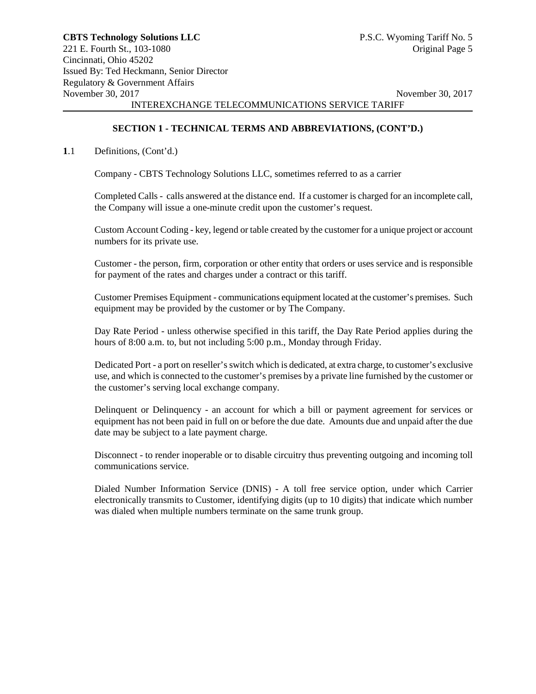## **SECTION 1 - TECHNICAL TERMS AND ABBREVIATIONS, (CONT'D.)**

## **1**.1 Definitions, (Cont'd.)

Company - CBTS Technology Solutions LLC, sometimes referred to as a carrier

Completed Calls - calls answered at the distance end. If a customer is charged for an incomplete call, the Company will issue a one-minute credit upon the customer's request.

Custom Account Coding - key, legend or table created by the customer for a unique project or account numbers for its private use.

Customer - the person, firm, corporation or other entity that orders or uses service and is responsible for payment of the rates and charges under a contract or this tariff.

Customer Premises Equipment - communications equipment located at the customer's premises. Such equipment may be provided by the customer or by The Company.

Day Rate Period - unless otherwise specified in this tariff, the Day Rate Period applies during the hours of 8:00 a.m. to, but not including 5:00 p.m., Monday through Friday.

Dedicated Port - a port on reseller's switch which is dedicated, at extra charge, to customer's exclusive use, and which is connected to the customer's premises by a private line furnished by the customer or the customer's serving local exchange company.

Delinquent or Delinquency - an account for which a bill or payment agreement for services or equipment has not been paid in full on or before the due date. Amounts due and unpaid after the due date may be subject to a late payment charge.

Disconnect - to render inoperable or to disable circuitry thus preventing outgoing and incoming toll communications service.

Dialed Number Information Service (DNIS) - A toll free service option, under which Carrier electronically transmits to Customer, identifying digits (up to 10 digits) that indicate which number was dialed when multiple numbers terminate on the same trunk group.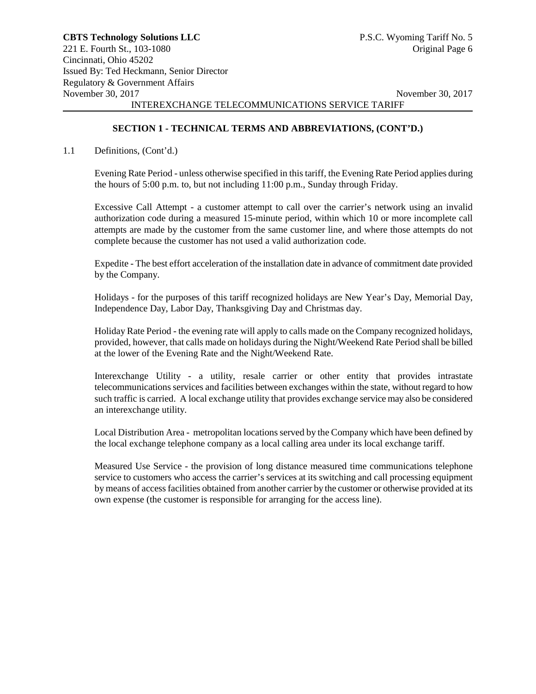# **SECTION 1 - TECHNICAL TERMS AND ABBREVIATIONS, (CONT'D.)**

## 1.1 Definitions, (Cont'd.)

Evening Rate Period - unless otherwise specified in this tariff, the Evening Rate Period applies during the hours of 5:00 p.m. to, but not including 11:00 p.m., Sunday through Friday.

Excessive Call Attempt - a customer attempt to call over the carrier's network using an invalid authorization code during a measured 15-minute period, within which 10 or more incomplete call attempts are made by the customer from the same customer line, and where those attempts do not complete because the customer has not used a valid authorization code.

Expedite - The best effort acceleration of the installation date in advance of commitment date provided by the Company.

Holidays - for the purposes of this tariff recognized holidays are New Year's Day, Memorial Day, Independence Day, Labor Day, Thanksgiving Day and Christmas day.

Holiday Rate Period - the evening rate will apply to calls made on the Company recognized holidays, provided, however, that calls made on holidays during the Night/Weekend Rate Period shall be billed at the lower of the Evening Rate and the Night/Weekend Rate.

Interexchange Utility - a utility, resale carrier or other entity that provides intrastate telecommunications services and facilities between exchanges within the state, without regard to how such traffic is carried. A local exchange utility that provides exchange service may also be considered an interexchange utility.

Local Distribution Area - metropolitan locations served by the Company which have been defined by the local exchange telephone company as a local calling area under its local exchange tariff.

Measured Use Service - the provision of long distance measured time communications telephone service to customers who access the carrier's services at its switching and call processing equipment by means of access facilities obtained from another carrier by the customer or otherwise provided at its own expense (the customer is responsible for arranging for the access line).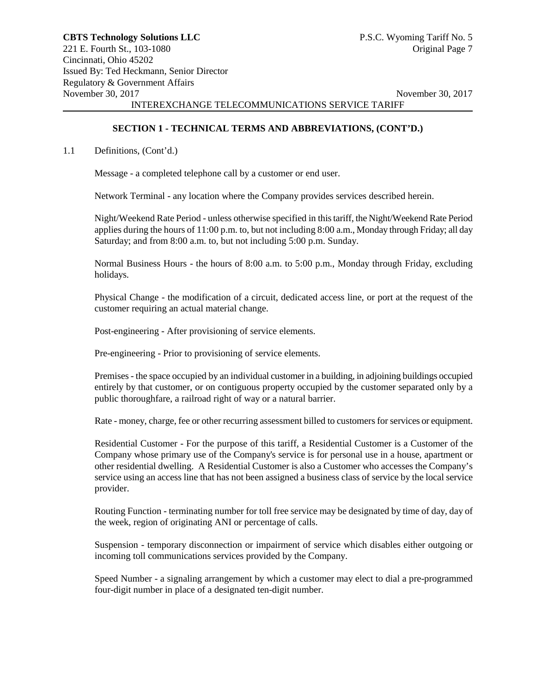#### **SECTION 1 - TECHNICAL TERMS AND ABBREVIATIONS, (CONT'D.)**

#### 1.1 Definitions, (Cont'd.)

Message - a completed telephone call by a customer or end user.

Network Terminal - any location where the Company provides services described herein.

Night/Weekend Rate Period - unless otherwise specified in this tariff, the Night/Weekend Rate Period applies during the hours of 11:00 p.m. to, but not including 8:00 a.m., Monday through Friday; all day Saturday; and from 8:00 a.m. to, but not including 5:00 p.m. Sunday.

Normal Business Hours - the hours of 8:00 a.m. to 5:00 p.m., Monday through Friday, excluding holidays.

Physical Change - the modification of a circuit, dedicated access line, or port at the request of the customer requiring an actual material change.

Post-engineering - After provisioning of service elements.

Pre-engineering - Prior to provisioning of service elements.

Premises - the space occupied by an individual customer in a building, in adjoining buildings occupied entirely by that customer, or on contiguous property occupied by the customer separated only by a public thoroughfare, a railroad right of way or a natural barrier.

Rate - money, charge, fee or other recurring assessment billed to customers for services or equipment.

Residential Customer - For the purpose of this tariff, a Residential Customer is a Customer of the Company whose primary use of the Company's service is for personal use in a house, apartment or other residential dwelling. A Residential Customer is also a Customer who accesses the Company's service using an access line that has not been assigned a business class of service by the local service provider.

Routing Function - terminating number for toll free service may be designated by time of day, day of the week, region of originating ANI or percentage of calls.

Suspension - temporary disconnection or impairment of service which disables either outgoing or incoming toll communications services provided by the Company.

Speed Number - a signaling arrangement by which a customer may elect to dial a pre-programmed four-digit number in place of a designated ten-digit number.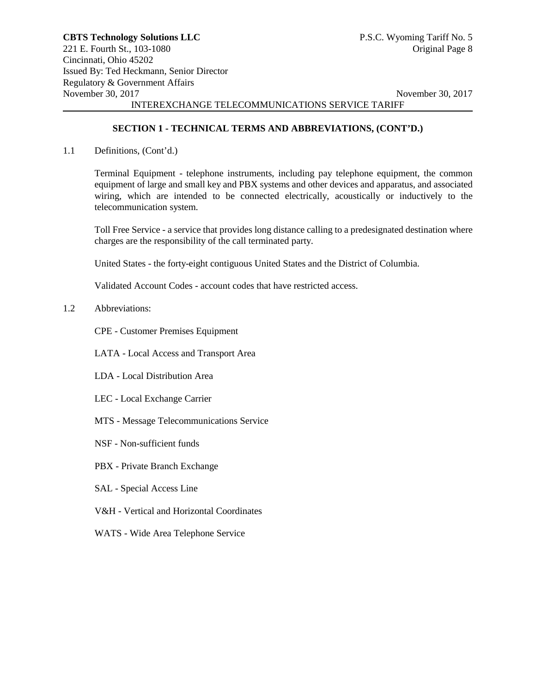# **SECTION 1 - TECHNICAL TERMS AND ABBREVIATIONS, (CONT'D.)**

1.1 Definitions, (Cont'd.)

Terminal Equipment - telephone instruments, including pay telephone equipment, the common equipment of large and small key and PBX systems and other devices and apparatus, and associated wiring, which are intended to be connected electrically, acoustically or inductively to the telecommunication system.

Toll Free Service - a service that provides long distance calling to a predesignated destination where charges are the responsibility of the call terminated party.

United States - the forty-eight contiguous United States and the District of Columbia.

Validated Account Codes - account codes that have restricted access.

1.2 Abbreviations:

CPE - Customer Premises Equipment

LATA - Local Access and Transport Area

- LDA Local Distribution Area
- LEC Local Exchange Carrier
- MTS Message Telecommunications Service
- NSF Non-sufficient funds
- PBX Private Branch Exchange
- SAL Special Access Line
- V&H Vertical and Horizontal Coordinates
- WATS Wide Area Telephone Service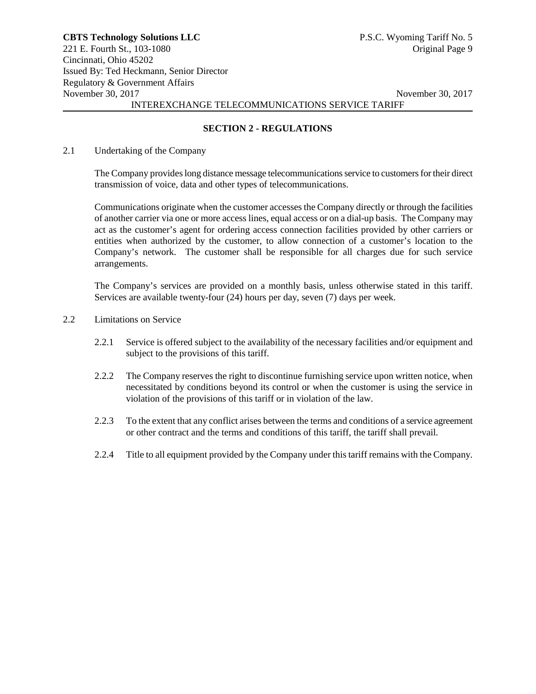# **SECTION 2 - REGULATIONS**

#### 2.1 Undertaking of the Company

The Company provides long distance message telecommunications service to customers for their direct transmission of voice, data and other types of telecommunications.

Communications originate when the customer accesses the Company directly or through the facilities of another carrier via one or more access lines, equal access or on a dial-up basis. The Company may act as the customer's agent for ordering access connection facilities provided by other carriers or entities when authorized by the customer, to allow connection of a customer's location to the Company's network. The customer shall be responsible for all charges due for such service arrangements.

The Company's services are provided on a monthly basis, unless otherwise stated in this tariff. Services are available twenty-four (24) hours per day, seven (7) days per week.

#### 2.2 Limitations on Service

- 2.2.1 Service is offered subject to the availability of the necessary facilities and/or equipment and subject to the provisions of this tariff.
- 2.2.2 The Company reserves the right to discontinue furnishing service upon written notice, when necessitated by conditions beyond its control or when the customer is using the service in violation of the provisions of this tariff or in violation of the law.
- 2.2.3 To the extent that any conflict arises between the terms and conditions of a service agreement or other contract and the terms and conditions of this tariff, the tariff shall prevail.
- 2.2.4 Title to all equipment provided by the Company under this tariff remains with the Company.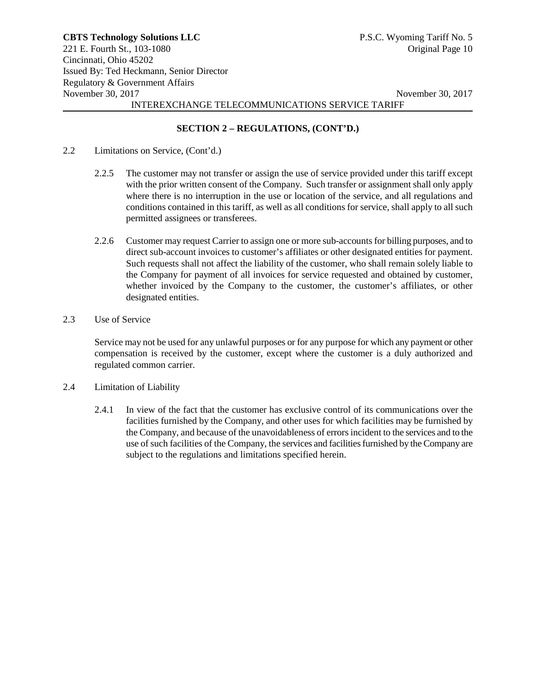# **SECTION 2 – REGULATIONS, (CONT'D.)**

- 2.2 Limitations on Service, (Cont'd.)
	- 2.2.5 The customer may not transfer or assign the use of service provided under this tariff except with the prior written consent of the Company. Such transfer or assignment shall only apply where there is no interruption in the use or location of the service, and all regulations and conditions contained in this tariff, as well as all conditions for service, shall apply to all such permitted assignees or transferees.
	- 2.2.6 Customer may request Carrier to assign one or more sub-accounts for billing purposes, and to direct sub-account invoices to customer's affiliates or other designated entities for payment. Such requests shall not affect the liability of the customer, who shall remain solely liable to the Company for payment of all invoices for service requested and obtained by customer, whether invoiced by the Company to the customer, the customer's affiliates, or other designated entities.
- 2.3 Use of Service

Service may not be used for any unlawful purposes or for any purpose for which any payment or other compensation is received by the customer, except where the customer is a duly authorized and regulated common carrier.

- 2.4 Limitation of Liability
	- 2.4.1 In view of the fact that the customer has exclusive control of its communications over the facilities furnished by the Company, and other uses for which facilities may be furnished by the Company, and because of the unavoidableness of errors incident to the services and to the use of such facilities of the Company, the services and facilities furnished by the Company are subject to the regulations and limitations specified herein.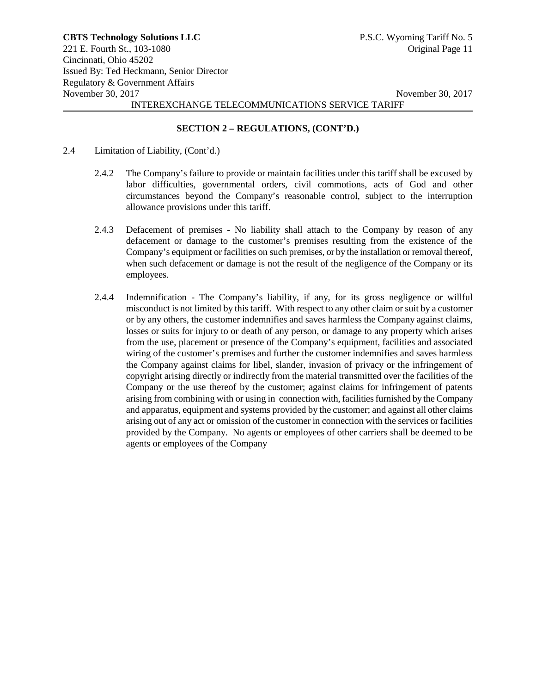# **SECTION 2 – REGULATIONS, (CONT'D.)**

- 2.4 Limitation of Liability, (Cont'd.)
	- 2.4.2 The Company's failure to provide or maintain facilities under this tariff shall be excused by labor difficulties, governmental orders, civil commotions, acts of God and other circumstances beyond the Company's reasonable control, subject to the interruption allowance provisions under this tariff.
	- 2.4.3 Defacement of premises No liability shall attach to the Company by reason of any defacement or damage to the customer's premises resulting from the existence of the Company's equipment or facilities on such premises, or by the installation or removal thereof, when such defacement or damage is not the result of the negligence of the Company or its employees.
	- 2.4.4 Indemnification The Company's liability, if any, for its gross negligence or willful misconduct is not limited by this tariff. With respect to any other claim or suit by a customer or by any others, the customer indemnifies and saves harmless the Company against claims, losses or suits for injury to or death of any person, or damage to any property which arises from the use, placement or presence of the Company's equipment, facilities and associated wiring of the customer's premises and further the customer indemnifies and saves harmless the Company against claims for libel, slander, invasion of privacy or the infringement of copyright arising directly or indirectly from the material transmitted over the facilities of the Company or the use thereof by the customer; against claims for infringement of patents arising from combining with or using in connection with, facilities furnished by the Company and apparatus, equipment and systems provided by the customer; and against all other claims arising out of any act or omission of the customer in connection with the services or facilities provided by the Company. No agents or employees of other carriers shall be deemed to be agents or employees of the Company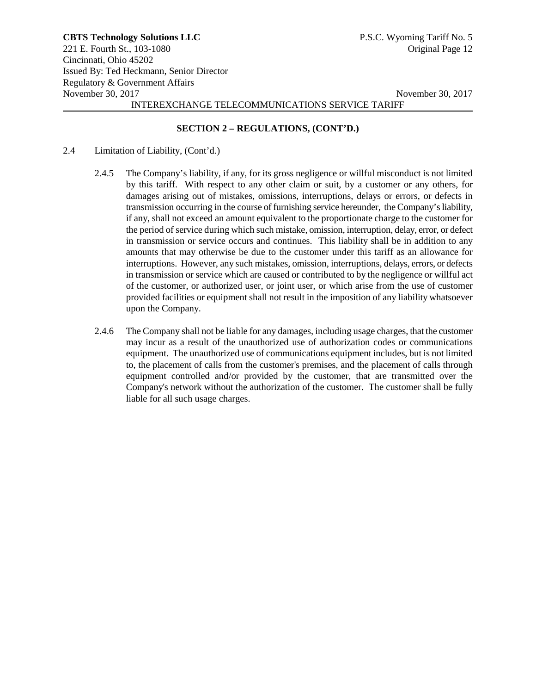# **SECTION 2 – REGULATIONS, (CONT'D.)**

- 2.4 Limitation of Liability, (Cont'd.)
	- 2.4.5 The Company's liability, if any, for its gross negligence or willful misconduct is not limited by this tariff. With respect to any other claim or suit, by a customer or any others, for damages arising out of mistakes, omissions, interruptions, delays or errors, or defects in transmission occurring in the course of furnishing service hereunder, the Company's liability, if any, shall not exceed an amount equivalent to the proportionate charge to the customer for the period of service during which such mistake, omission, interruption, delay, error, or defect in transmission or service occurs and continues. This liability shall be in addition to any amounts that may otherwise be due to the customer under this tariff as an allowance for interruptions. However, any such mistakes, omission, interruptions, delays, errors, or defects in transmission or service which are caused or contributed to by the negligence or willful act of the customer, or authorized user, or joint user, or which arise from the use of customer provided facilities or equipment shall not result in the imposition of any liability whatsoever upon the Company.
	- 2.4.6 The Company shall not be liable for any damages, including usage charges, that the customer may incur as a result of the unauthorized use of authorization codes or communications equipment. The unauthorized use of communications equipment includes, but is not limited to, the placement of calls from the customer's premises, and the placement of calls through equipment controlled and/or provided by the customer, that are transmitted over the Company's network without the authorization of the customer. The customer shall be fully liable for all such usage charges.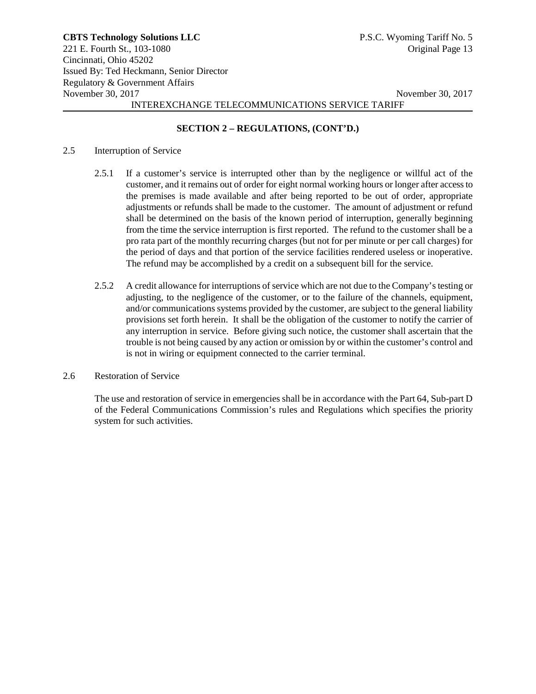# **SECTION 2 – REGULATIONS, (CONT'D.)**

#### 2.5 Interruption of Service

- 2.5.1 If a customer's service is interrupted other than by the negligence or willful act of the customer, and it remains out of order for eight normal working hours or longer after access to the premises is made available and after being reported to be out of order, appropriate adjustments or refunds shall be made to the customer. The amount of adjustment or refund shall be determined on the basis of the known period of interruption, generally beginning from the time the service interruption is first reported. The refund to the customer shall be a pro rata part of the monthly recurring charges (but not for per minute or per call charges) for the period of days and that portion of the service facilities rendered useless or inoperative. The refund may be accomplished by a credit on a subsequent bill for the service.
- 2.5.2 A credit allowance for interruptions of service which are not due to the Company's testing or adjusting, to the negligence of the customer, or to the failure of the channels, equipment, and/or communications systems provided by the customer, are subject to the general liability provisions set forth herein. It shall be the obligation of the customer to notify the carrier of any interruption in service. Before giving such notice, the customer shall ascertain that the trouble is not being caused by any action or omission by or within the customer's control and is not in wiring or equipment connected to the carrier terminal.

# 2.6 Restoration of Service

The use and restoration of service in emergencies shall be in accordance with the Part 64, Sub-part D of the Federal Communications Commission's rules and Regulations which specifies the priority system for such activities.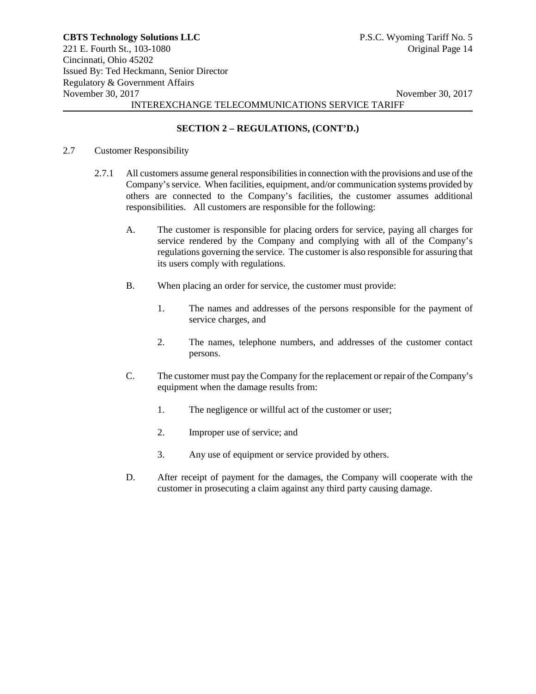# **SECTION 2 – REGULATIONS, (CONT'D.)**

#### 2.7 Customer Responsibility

- 2.7.1 All customers assume general responsibilities in connection with the provisions and use of the Company's service. When facilities, equipment, and/or communication systems provided by others are connected to the Company's facilities, the customer assumes additional responsibilities. All customers are responsible for the following:
	- A. The customer is responsible for placing orders for service, paying all charges for service rendered by the Company and complying with all of the Company's regulations governing the service. The customer is also responsible for assuring that its users comply with regulations.
	- B. When placing an order for service, the customer must provide:
		- 1. The names and addresses of the persons responsible for the payment of service charges, and
		- 2. The names, telephone numbers, and addresses of the customer contact persons.
	- C. The customer must pay the Company for the replacement or repair of the Company's equipment when the damage results from:
		- 1. The negligence or willful act of the customer or user;
		- 2. Improper use of service; and
		- 3. Any use of equipment or service provided by others.
	- D. After receipt of payment for the damages, the Company will cooperate with the customer in prosecuting a claim against any third party causing damage.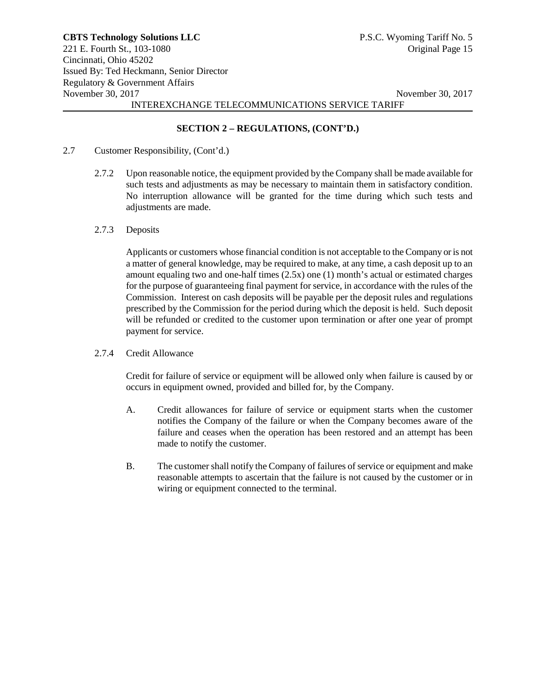# **SECTION 2 – REGULATIONS, (CONT'D.)**

- 2.7 Customer Responsibility, (Cont'd.)
	- 2.7.2 Upon reasonable notice, the equipment provided by the Company shall be made available for such tests and adjustments as may be necessary to maintain them in satisfactory condition. No interruption allowance will be granted for the time during which such tests and adjustments are made.
	- 2.7.3 Deposits

Applicants or customers whose financial condition is not acceptable to the Company or is not a matter of general knowledge, may be required to make, at any time, a cash deposit up to an amount equaling two and one-half times (2.5x) one (1) month's actual or estimated charges for the purpose of guaranteeing final payment for service, in accordance with the rules of the Commission. Interest on cash deposits will be payable per the deposit rules and regulations prescribed by the Commission for the period during which the deposit is held. Such deposit will be refunded or credited to the customer upon termination or after one year of prompt payment for service.

2.7.4 Credit Allowance

Credit for failure of service or equipment will be allowed only when failure is caused by or occurs in equipment owned, provided and billed for, by the Company.

- A. Credit allowances for failure of service or equipment starts when the customer notifies the Company of the failure or when the Company becomes aware of the failure and ceases when the operation has been restored and an attempt has been made to notify the customer.
- B. The customer shall notify the Company of failures of service or equipment and make reasonable attempts to ascertain that the failure is not caused by the customer or in wiring or equipment connected to the terminal.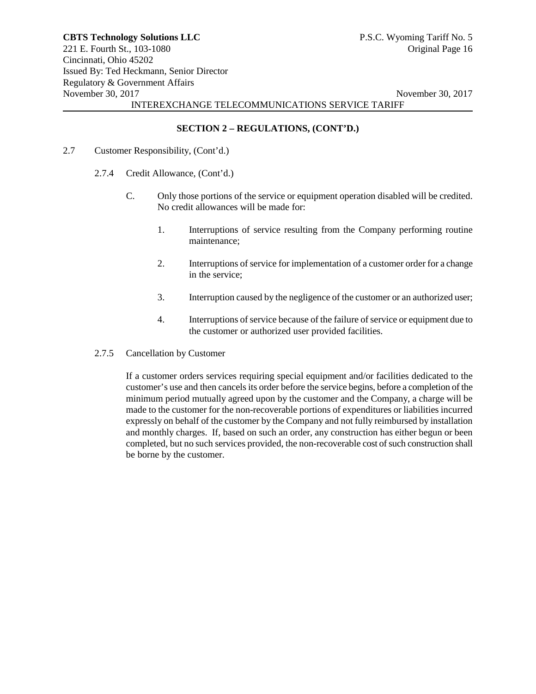# **SECTION 2 – REGULATIONS, (CONT'D.)**

- 2.7 Customer Responsibility, (Cont'd.)
	- 2.7.4 Credit Allowance, (Cont'd.)
		- C. Only those portions of the service or equipment operation disabled will be credited. No credit allowances will be made for:
			- 1. Interruptions of service resulting from the Company performing routine maintenance;
			- 2. Interruptions of service for implementation of a customer order for a change in the service;
			- 3. Interruption caused by the negligence of the customer or an authorized user;
			- 4. Interruptions of service because of the failure of service or equipment due to the customer or authorized user provided facilities.
	- 2.7.5 Cancellation by Customer

If a customer orders services requiring special equipment and/or facilities dedicated to the customer's use and then cancels its order before the service begins, before a completion of the minimum period mutually agreed upon by the customer and the Company, a charge will be made to the customer for the non-recoverable portions of expenditures or liabilities incurred expressly on behalf of the customer by the Company and not fully reimbursed by installation and monthly charges. If, based on such an order, any construction has either begun or been completed, but no such services provided, the non-recoverable cost of such construction shall be borne by the customer.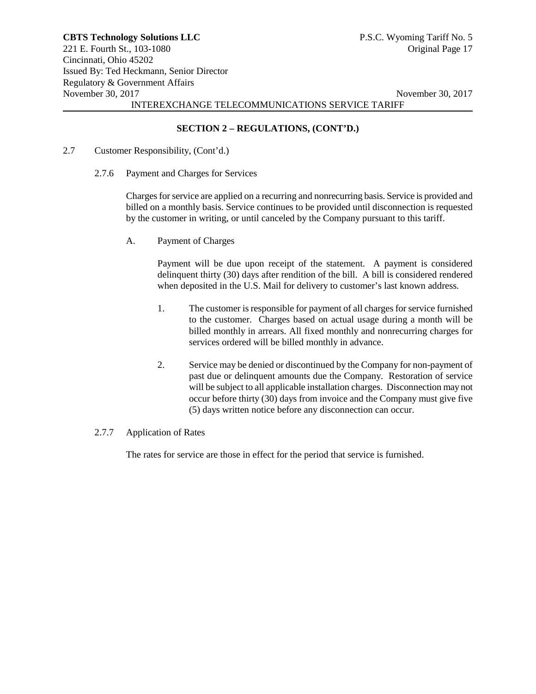## **SECTION 2 – REGULATIONS, (CONT'D.)**

- 2.7 Customer Responsibility, (Cont'd.)
	- 2.7.6 Payment and Charges for Services

Charges for service are applied on a recurring and nonrecurring basis. Service is provided and billed on a monthly basis. Service continues to be provided until disconnection is requested by the customer in writing, or until canceled by the Company pursuant to this tariff.

A. Payment of Charges

Payment will be due upon receipt of the statement. A payment is considered delinquent thirty (30) days after rendition of the bill. A bill is considered rendered when deposited in the U.S. Mail for delivery to customer's last known address.

- 1. The customer is responsible for payment of all charges for service furnished to the customer. Charges based on actual usage during a month will be billed monthly in arrears. All fixed monthly and nonrecurring charges for services ordered will be billed monthly in advance.
- 2. Service may be denied or discontinued by the Company for non-payment of past due or delinquent amounts due the Company. Restoration of service will be subject to all applicable installation charges. Disconnection may not occur before thirty (30) days from invoice and the Company must give five (5) days written notice before any disconnection can occur.
- 2.7.7 Application of Rates

The rates for service are those in effect for the period that service is furnished.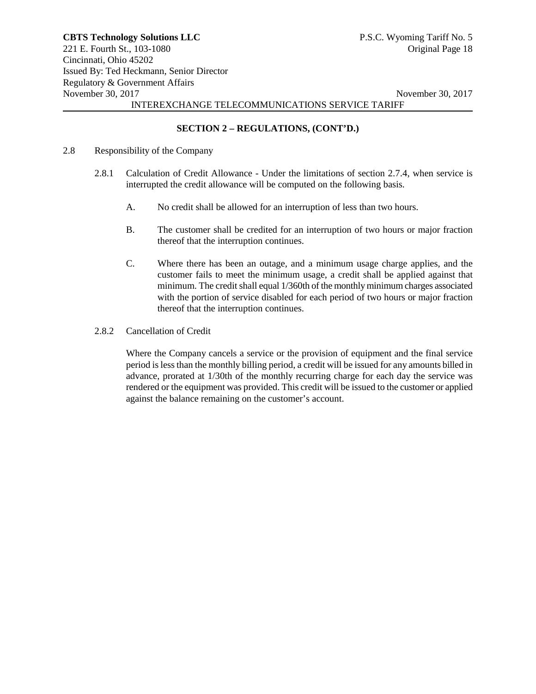# **SECTION 2 – REGULATIONS, (CONT'D.)**

- 2.8 Responsibility of the Company
	- 2.8.1 Calculation of Credit Allowance Under the limitations of section 2.7.4, when service is interrupted the credit allowance will be computed on the following basis.
		- A. No credit shall be allowed for an interruption of less than two hours.
		- B. The customer shall be credited for an interruption of two hours or major fraction thereof that the interruption continues.
		- C. Where there has been an outage, and a minimum usage charge applies, and the customer fails to meet the minimum usage, a credit shall be applied against that minimum. The credit shall equal 1/360th of the monthly minimum charges associated with the portion of service disabled for each period of two hours or major fraction thereof that the interruption continues.
	- 2.8.2 Cancellation of Credit

Where the Company cancels a service or the provision of equipment and the final service period is less than the monthly billing period, a credit will be issued for any amounts billed in advance, prorated at 1/30th of the monthly recurring charge for each day the service was rendered or the equipment was provided. This credit will be issued to the customer or applied against the balance remaining on the customer's account.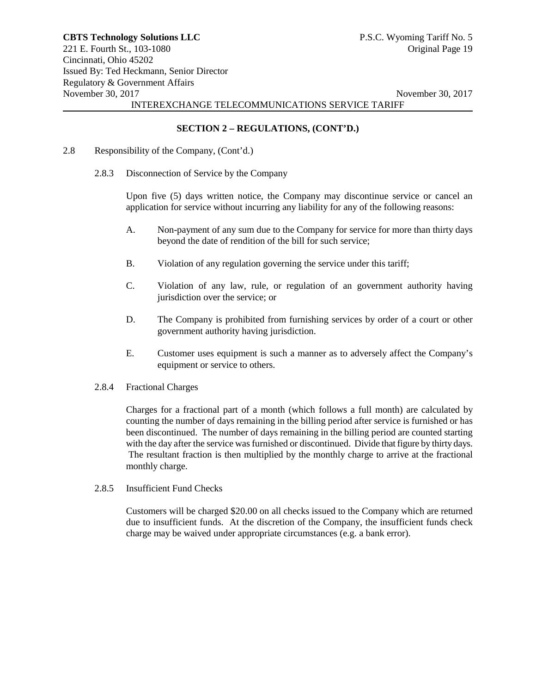# **SECTION 2 – REGULATIONS, (CONT'D.)**

- 2.8 Responsibility of the Company, (Cont'd.)
	- 2.8.3 Disconnection of Service by the Company

Upon five (5) days written notice, the Company may discontinue service or cancel an application for service without incurring any liability for any of the following reasons:

- A. Non-payment of any sum due to the Company for service for more than thirty days beyond the date of rendition of the bill for such service;
- B. Violation of any regulation governing the service under this tariff;
- C. Violation of any law, rule, or regulation of an government authority having jurisdiction over the service; or
- D. The Company is prohibited from furnishing services by order of a court or other government authority having jurisdiction.
- E. Customer uses equipment is such a manner as to adversely affect the Company's equipment or service to others.
- 2.8.4 Fractional Charges

Charges for a fractional part of a month (which follows a full month) are calculated by counting the number of days remaining in the billing period after service is furnished or has been discontinued. The number of days remaining in the billing period are counted starting with the day after the service was furnished or discontinued. Divide that figure by thirty days. The resultant fraction is then multiplied by the monthly charge to arrive at the fractional monthly charge.

2.8.5 Insufficient Fund Checks

Customers will be charged \$20.00 on all checks issued to the Company which are returned due to insufficient funds. At the discretion of the Company, the insufficient funds check charge may be waived under appropriate circumstances (e.g. a bank error).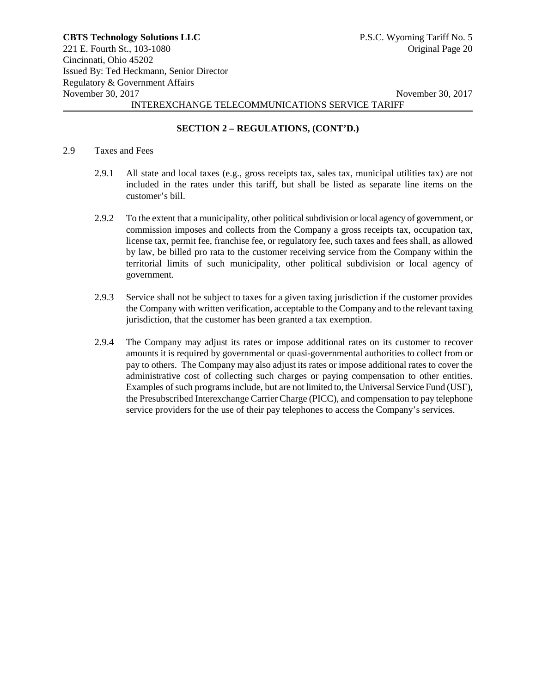# **SECTION 2 – REGULATIONS, (CONT'D.)**

#### 2.9 Taxes and Fees

- 2.9.1 All state and local taxes (e.g., gross receipts tax, sales tax, municipal utilities tax) are not included in the rates under this tariff, but shall be listed as separate line items on the customer's bill.
- 2.9.2 To the extent that a municipality, other political subdivision or local agency of government, or commission imposes and collects from the Company a gross receipts tax, occupation tax, license tax, permit fee, franchise fee, or regulatory fee, such taxes and fees shall, as allowed by law, be billed pro rata to the customer receiving service from the Company within the territorial limits of such municipality, other political subdivision or local agency of government.
- 2.9.3 Service shall not be subject to taxes for a given taxing jurisdiction if the customer provides the Company with written verification, acceptable to the Company and to the relevant taxing jurisdiction, that the customer has been granted a tax exemption.
- 2.9.4 The Company may adjust its rates or impose additional rates on its customer to recover amounts it is required by governmental or quasi-governmental authorities to collect from or pay to others. The Company may also adjust its rates or impose additional rates to cover the administrative cost of collecting such charges or paying compensation to other entities. Examples of such programs include, but are not limited to, the Universal Service Fund (USF), the Presubscribed Interexchange Carrier Charge (PICC), and compensation to pay telephone service providers for the use of their pay telephones to access the Company's services.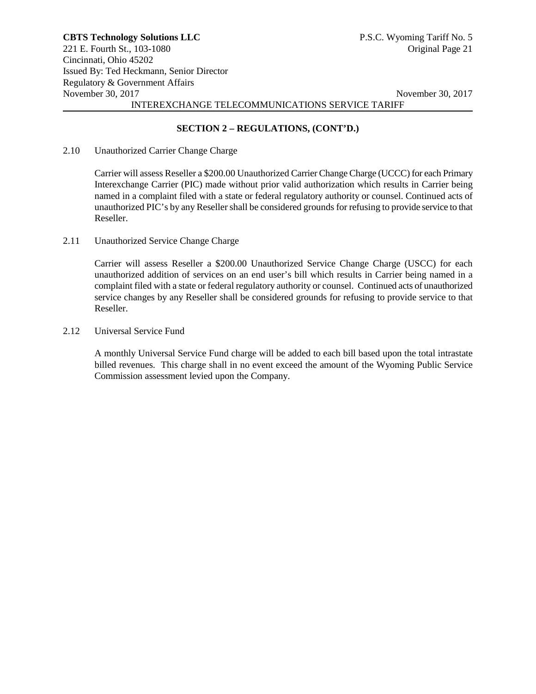# **SECTION 2 – REGULATIONS, (CONT'D.)**

#### 2.10 Unauthorized Carrier Change Charge

Carrier will assess Reseller a \$200.00 Unauthorized Carrier Change Charge (UCCC) for each Primary Interexchange Carrier (PIC) made without prior valid authorization which results in Carrier being named in a complaint filed with a state or federal regulatory authority or counsel. Continued acts of unauthorized PIC's by any Reseller shall be considered grounds for refusing to provide service to that Reseller.

2.11 Unauthorized Service Change Charge

Carrier will assess Reseller a \$200.00 Unauthorized Service Change Charge (USCC) for each unauthorized addition of services on an end user's bill which results in Carrier being named in a complaint filed with a state or federal regulatory authority or counsel. Continued acts of unauthorized service changes by any Reseller shall be considered grounds for refusing to provide service to that Reseller.

2.12 Universal Service Fund

A monthly Universal Service Fund charge will be added to each bill based upon the total intrastate billed revenues. This charge shall in no event exceed the amount of the Wyoming Public Service Commission assessment levied upon the Company.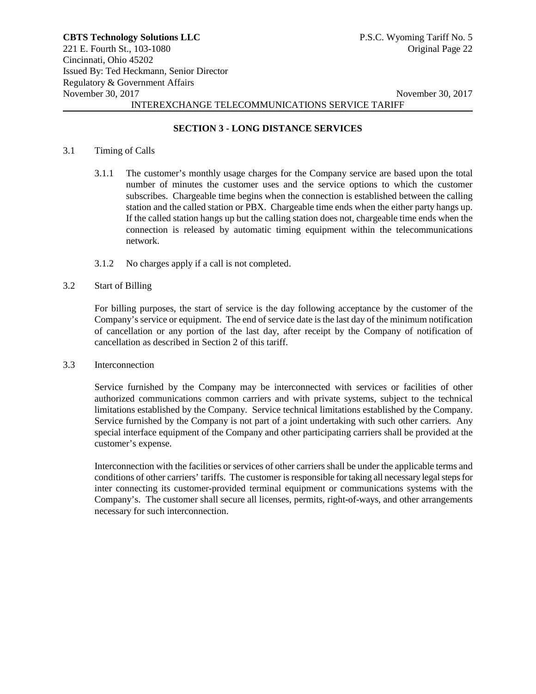#### **SECTION 3 - LONG DISTANCE SERVICES**

#### 3.1 Timing of Calls

- 3.1.1 The customer's monthly usage charges for the Company service are based upon the total number of minutes the customer uses and the service options to which the customer subscribes. Chargeable time begins when the connection is established between the calling station and the called station or PBX. Chargeable time ends when the either party hangs up. If the called station hangs up but the calling station does not, chargeable time ends when the connection is released by automatic timing equipment within the telecommunications network.
- 3.1.2 No charges apply if a call is not completed.

#### 3.2 Start of Billing

For billing purposes, the start of service is the day following acceptance by the customer of the Company's service or equipment. The end of service date is the last day of the minimum notification of cancellation or any portion of the last day, after receipt by the Company of notification of cancellation as described in Section 2 of this tariff.

3.3 Interconnection

Service furnished by the Company may be interconnected with services or facilities of other authorized communications common carriers and with private systems, subject to the technical limitations established by the Company. Service technical limitations established by the Company. Service furnished by the Company is not part of a joint undertaking with such other carriers. Any special interface equipment of the Company and other participating carriers shall be provided at the customer's expense.

Interconnection with the facilities or services of other carriers shall be under the applicable terms and conditions of other carriers' tariffs. The customer is responsible for taking all necessary legal steps for inter connecting its customer-provided terminal equipment or communications systems with the Company's. The customer shall secure all licenses, permits, right-of-ways, and other arrangements necessary for such interconnection.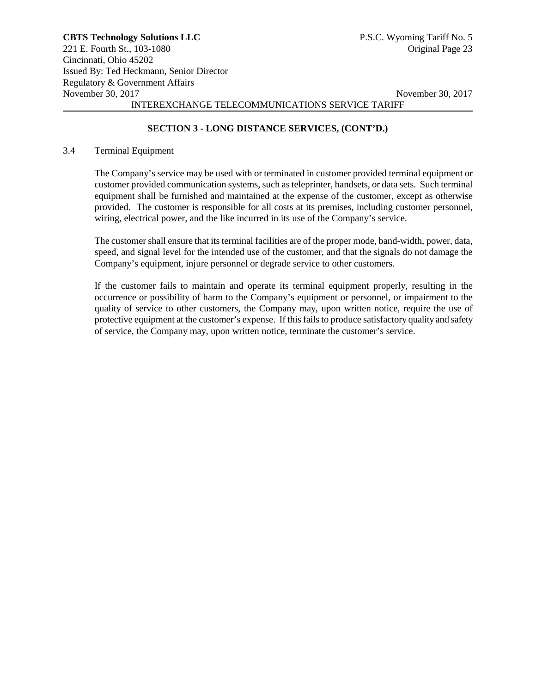# **SECTION 3 - LONG DISTANCE SERVICES, (CONT'D.)**

#### 3.4 Terminal Equipment

The Company's service may be used with or terminated in customer provided terminal equipment or customer provided communication systems, such as teleprinter, handsets, or data sets. Such terminal equipment shall be furnished and maintained at the expense of the customer, except as otherwise provided. The customer is responsible for all costs at its premises, including customer personnel, wiring, electrical power, and the like incurred in its use of the Company's service.

The customer shall ensure that its terminal facilities are of the proper mode, band-width, power, data, speed, and signal level for the intended use of the customer, and that the signals do not damage the Company's equipment, injure personnel or degrade service to other customers.

If the customer fails to maintain and operate its terminal equipment properly, resulting in the occurrence or possibility of harm to the Company's equipment or personnel, or impairment to the quality of service to other customers, the Company may, upon written notice, require the use of protective equipment at the customer's expense. If this fails to produce satisfactory quality and safety of service, the Company may, upon written notice, terminate the customer's service.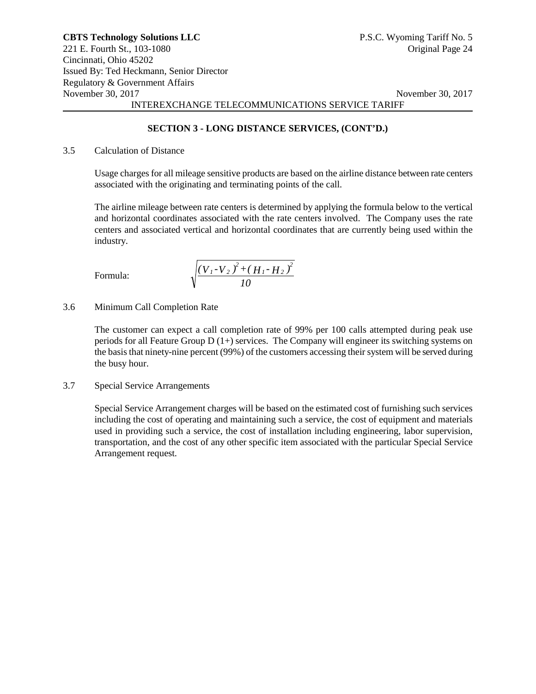# **SECTION 3 - LONG DISTANCE SERVICES, (CONT'D.)**

# 3.5 Calculation of Distance

Usage charges for all mileage sensitive products are based on the airline distance between rate centers associated with the originating and terminating points of the call.

The airline mileage between rate centers is determined by applying the formula below to the vertical and horizontal coordinates associated with the rate centers involved. The Company uses the rate centers and associated vertical and horizontal coordinates that are currently being used within the industry.

Formula:

$$
\sqrt{\frac{\left(V_{1}-V_{2}\right)^{2}+\left(H_{1}-H_{2}\right)^{2}}{10}}
$$

3.6 Minimum Call Completion Rate

The customer can expect a call completion rate of 99% per 100 calls attempted during peak use periods for all Feature Group  $D(1+)$  services. The Company will engineer its switching systems on the basis that ninety-nine percent (99%) of the customers accessing their system will be served during the busy hour.

3.7 Special Service Arrangements

Special Service Arrangement charges will be based on the estimated cost of furnishing such services including the cost of operating and maintaining such a service, the cost of equipment and materials used in providing such a service, the cost of installation including engineering, labor supervision, transportation, and the cost of any other specific item associated with the particular Special Service Arrangement request.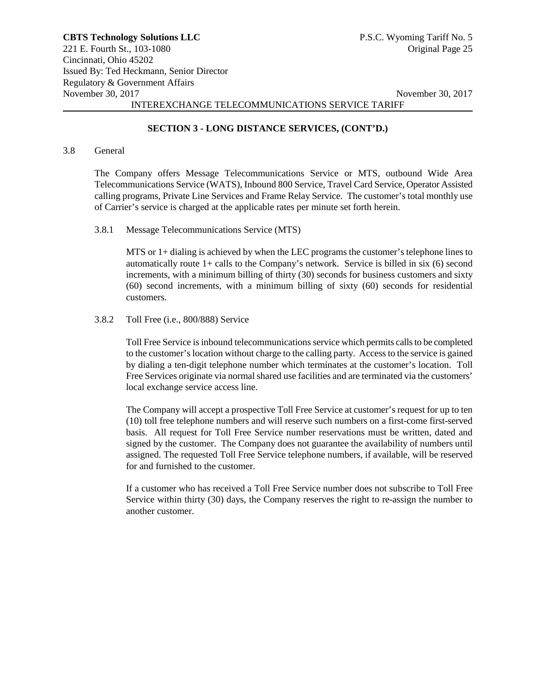# **SECTION 3 - LONG DISTANCE SERVICES, (CONT'D.)**

#### 3.8 General

The Company offers Message Telecommunications Service or MTS, outbound Wide Area Telecommunications Service (WATS), Inbound 800 Service, Travel Card Service, Operator Assisted calling programs, Private Line Services and Frame Relay Service. The customer's total monthly use of Carrier's service is charged at the applicable rates per minute set forth herein.

#### 3.8.1 Message Telecommunications Service (MTS)

MTS or 1+ dialing is achieved by when the LEC programs the customer's telephone lines to automatically route  $1+$  calls to the Company's network. Service is billed in six  $(6)$  second increments, with a minimum billing of thirty (30) seconds for business customers and sixty (60) second increments, with a minimum billing of sixty (60) seconds for residential customers.

#### 3.8.2 Toll Free (i.e., 800/888) Service

Toll Free Service is inbound telecommunications service which permits calls to be completed to the customer's location without charge to the calling party. Accessto the service is gained by dialing a ten-digit telephone number which terminates at the customer's location. Toll Free Services originate via normal shared use facilities and are terminated via the customers' local exchange service access line.

The Company will accept a prospective Toll Free Service at customer's request for up to ten (10) toll free telephone numbers and will reserve such numbers on a first-come first-served basis. All request for Toll Free Service number reservations must be written, dated and signed by the customer. The Company does not guarantee the availability of numbers until assigned. The requested Toll Free Service telephone numbers, if available, will be reserved for and furnished to the customer.

If a customer who has received a Toll Free Service number does not subscribe to Toll Free Service within thirty (30) days, the Company reserves the right to re-assign the number to another customer.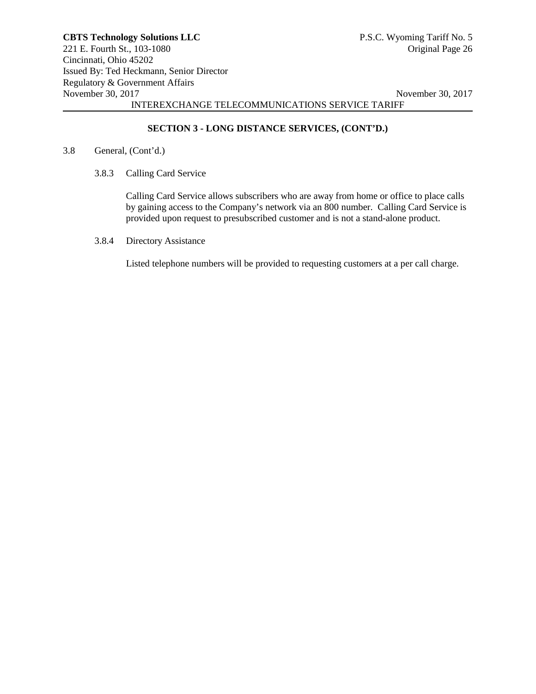# **SECTION 3 - LONG DISTANCE SERVICES, (CONT'D.)**

#### 3.8 General, (Cont'd.)

3.8.3 Calling Card Service

Calling Card Service allows subscribers who are away from home or office to place calls by gaining access to the Company's network via an 800 number. Calling Card Service is provided upon request to presubscribed customer and is not a stand-alone product.

3.8.4 Directory Assistance

Listed telephone numbers will be provided to requesting customers at a per call charge.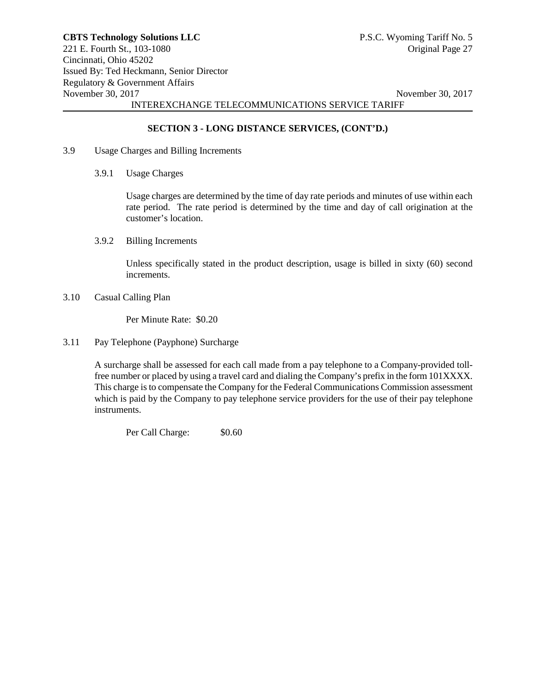# **SECTION 3 - LONG DISTANCE SERVICES, (CONT'D.)**

- 3.9 Usage Charges and Billing Increments
	- 3.9.1 Usage Charges

Usage charges are determined by the time of day rate periods and minutes of use within each rate period. The rate period is determined by the time and day of call origination at the customer's location.

3.9.2 Billing Increments

Unless specifically stated in the product description, usage is billed in sixty (60) second increments.

3.10 Casual Calling Plan

Per Minute Rate: \$0.20

3.11 Pay Telephone (Payphone) Surcharge

A surcharge shall be assessed for each call made from a pay telephone to a Company-provided tollfree number or placed by using a travel card and dialing the Company's prefix in the form 101XXXX. This charge is to compensate the Company for the Federal Communications Commission assessment which is paid by the Company to pay telephone service providers for the use of their pay telephone instruments.

Per Call Charge:  $$0.60$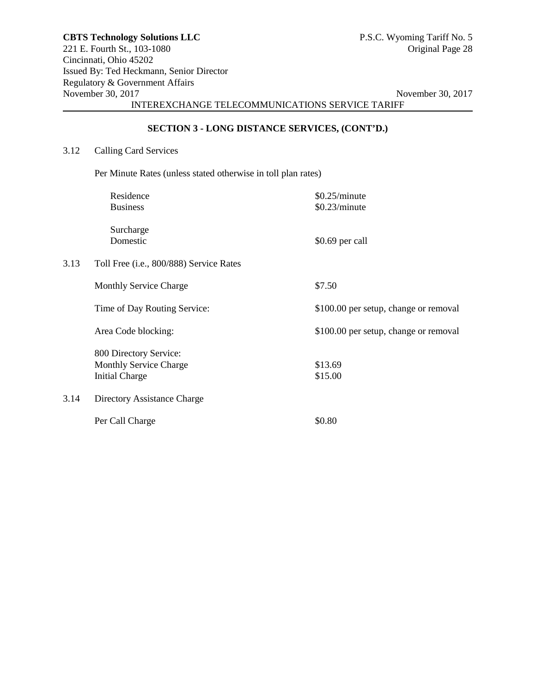# **SECTION 3 - LONG DISTANCE SERVICES, (CONT'D.)**

## 3.12 Calling Card Services

Per Minute Rates (unless stated otherwise in toll plan rates)

|      | Residence                               | \$0.25/minute                         |
|------|-----------------------------------------|---------------------------------------|
|      | <b>Business</b>                         | \$0.23/minute                         |
|      | Surcharge                               |                                       |
|      | Domestic                                | \$0.69 per call                       |
| 3.13 | Toll Free (i.e., 800/888) Service Rates |                                       |
|      | <b>Monthly Service Charge</b>           | \$7.50                                |
|      | Time of Day Routing Service:            | \$100.00 per setup, change or removal |
|      | Area Code blocking:                     | \$100.00 per setup, change or removal |
|      | 800 Directory Service:                  |                                       |
|      | <b>Monthly Service Charge</b>           | \$13.69                               |
|      | <b>Initial Charge</b>                   | \$15.00                               |
| 3.14 | Directory Assistance Charge             |                                       |
|      | Per Call Charge                         | \$0.80                                |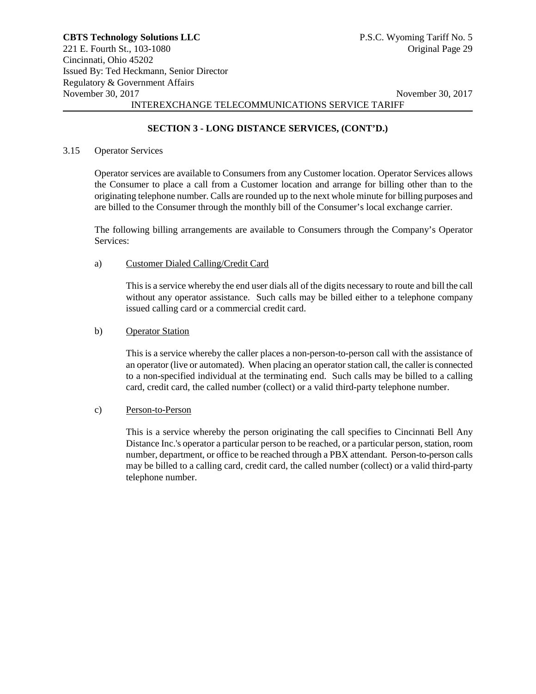# **SECTION 3 - LONG DISTANCE SERVICES, (CONT'D.)**

#### 3.15 Operator Services

Operator services are available to Consumers from any Customer location. Operator Services allows the Consumer to place a call from a Customer location and arrange for billing other than to the originating telephone number. Calls are rounded up to the next whole minute for billing purposes and are billed to the Consumer through the monthly bill of the Consumer's local exchange carrier.

The following billing arrangements are available to Consumers through the Company's Operator Services:

#### a) Customer Dialed Calling/Credit Card

This is a service whereby the end user dials all of the digits necessary to route and bill the call without any operator assistance. Such calls may be billed either to a telephone company issued calling card or a commercial credit card.

#### b) Operator Station

This is a service whereby the caller places a non-person-to-person call with the assistance of an operator (live or automated). When placing an operator station call, the caller is connected to a non-specified individual at the terminating end. Such calls may be billed to a calling card, credit card, the called number (collect) or a valid third-party telephone number.

# c) Person-to-Person

This is a service whereby the person originating the call specifies to Cincinnati Bell Any Distance Inc.'s operator a particular person to be reached, or a particular person, station, room number, department, or office to be reached through a PBX attendant. Person-to-person calls may be billed to a calling card, credit card, the called number (collect) or a valid third-party telephone number.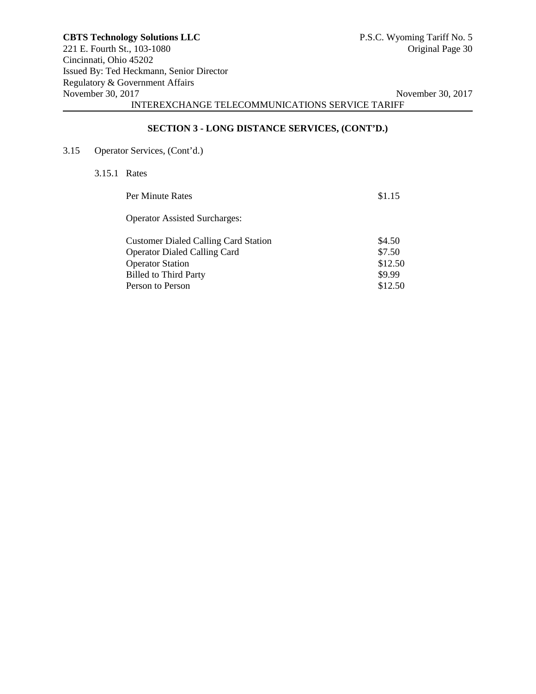# **SECTION 3 - LONG DISTANCE SERVICES, (CONT'D.)**

3.15 Operator Services, (Cont'd.)

3.15.1 Rates

| Per Minute Rates                                                                   | \$1.15            |
|------------------------------------------------------------------------------------|-------------------|
| <b>Operator Assisted Surcharges:</b>                                               |                   |
| <b>Customer Dialed Calling Card Station</b><br><b>Operator Dialed Calling Card</b> | \$4.50<br>\$7.50  |
| <b>Operator Station</b>                                                            | \$12.50           |
| <b>Billed to Third Party</b><br>Person to Person                                   | \$9.99<br>\$12.50 |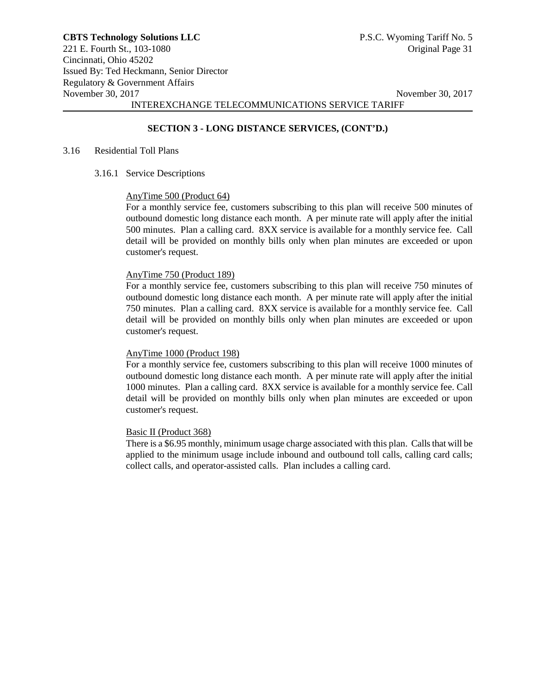# **SECTION 3 - LONG DISTANCE SERVICES, (CONT'D.)**

#### 3.16 Residential Toll Plans

3.16.1 Service Descriptions

#### AnyTime 500 (Product 64)

For a monthly service fee, customers subscribing to this plan will receive 500 minutes of outbound domestic long distance each month. A per minute rate will apply after the initial 500 minutes. Plan a calling card. 8XX service is available for a monthly service fee. Call detail will be provided on monthly bills only when plan minutes are exceeded or upon customer's request.

#### AnyTime 750 (Product 189)

For a monthly service fee, customers subscribing to this plan will receive 750 minutes of outbound domestic long distance each month. A per minute rate will apply after the initial 750 minutes. Plan a calling card. 8XX service is available for a monthly service fee. Call detail will be provided on monthly bills only when plan minutes are exceeded or upon customer's request.

#### AnyTime 1000 (Product 198)

For a monthly service fee, customers subscribing to this plan will receive 1000 minutes of outbound domestic long distance each month. A per minute rate will apply after the initial 1000 minutes. Plan a calling card. 8XX service is available for a monthly service fee. Call detail will be provided on monthly bills only when plan minutes are exceeded or upon customer's request.

#### Basic II (Product 368)

There is a \$6.95 monthly, minimum usage charge associated with this plan. Calls that will be applied to the minimum usage include inbound and outbound toll calls, calling card calls; collect calls, and operator-assisted calls. Plan includes a calling card.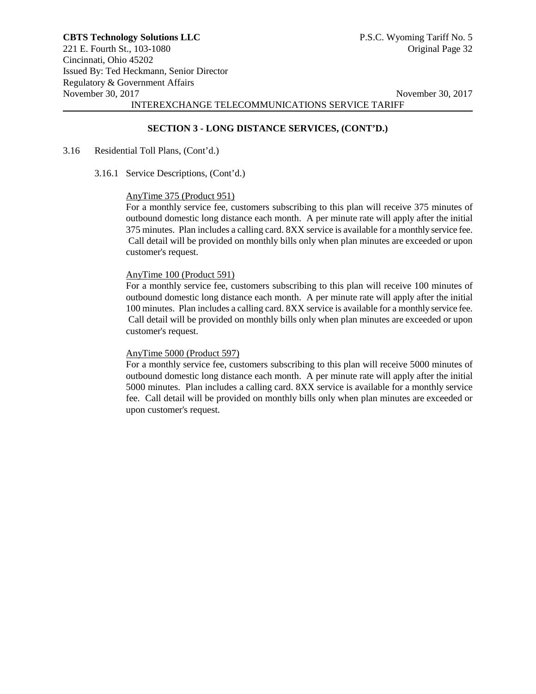## **SECTION 3 - LONG DISTANCE SERVICES, (CONT'D.)**

#### 3.16 Residential Toll Plans, (Cont'd.)

3.16.1 Service Descriptions, (Cont'd.)

#### AnyTime 375 (Product 951)

For a monthly service fee, customers subscribing to this plan will receive 375 minutes of outbound domestic long distance each month. A per minute rate will apply after the initial 375 minutes. Plan includes a calling card. 8XX service is available for a monthly service fee. Call detail will be provided on monthly bills only when plan minutes are exceeded or upon customer's request.

## AnyTime 100 (Product 591)

For a monthly service fee, customers subscribing to this plan will receive 100 minutes of outbound domestic long distance each month. A per minute rate will apply after the initial 100 minutes. Plan includes a calling card. 8XX service is available for a monthly service fee. Call detail will be provided on monthly bills only when plan minutes are exceeded or upon customer's request.

#### AnyTime 5000 (Product 597)

For a monthly service fee, customers subscribing to this plan will receive 5000 minutes of outbound domestic long distance each month. A per minute rate will apply after the initial 5000 minutes. Plan includes a calling card. 8XX service is available for a monthly service fee. Call detail will be provided on monthly bills only when plan minutes are exceeded or upon customer's request.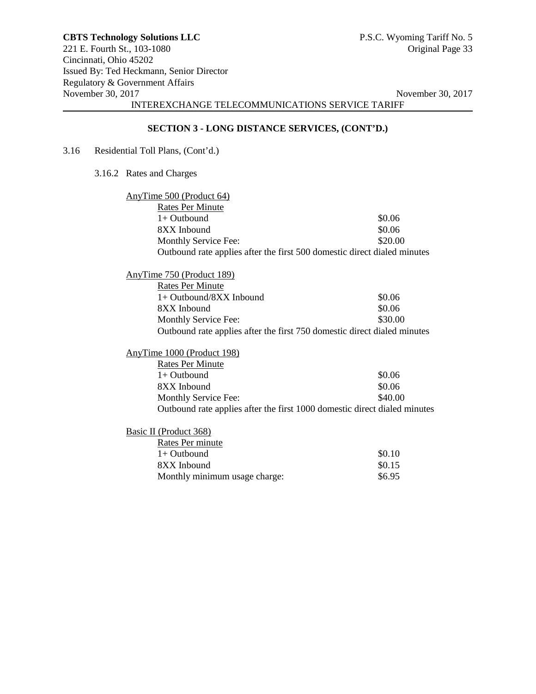# **SECTION 3 - LONG DISTANCE SERVICES, (CONT'D.)**

- 3.16 Residential Toll Plans, (Cont'd.)
	- 3.16.2 Rates and Charges

| AnyTime 500 (Product 64)                                                  |         |
|---------------------------------------------------------------------------|---------|
| <b>Rates Per Minute</b>                                                   |         |
| $1+$ Outbound                                                             | \$0.06  |
| 8XX Inbound                                                               | \$0.06  |
| Monthly Service Fee:                                                      | \$20.00 |
| Outbound rate applies after the first 500 domestic direct dialed minutes  |         |
| AnyTime 750 (Product 189)                                                 |         |
| <b>Rates Per Minute</b>                                                   |         |
| $1+$ Outbound/8XX Inbound                                                 | \$0.06  |
| 8XX Inbound                                                               | \$0.06  |
|                                                                           | \$30.00 |
| Monthly Service Fee:                                                      |         |
| Outbound rate applies after the first 750 domestic direct dialed minutes  |         |
| AnyTime 1000 (Product 198)                                                |         |
| <b>Rates Per Minute</b>                                                   |         |
| $1+$ Outbound                                                             | \$0.06  |
| 8XX Inbound                                                               | \$0.06  |
| Monthly Service Fee:                                                      | \$40.00 |
| Outbound rate applies after the first 1000 domestic direct dialed minutes |         |
| Basic II (Product 368)                                                    |         |
| Rates Per minute                                                          |         |
| $1+$ Outbound                                                             | \$0.10  |
| 8XX Inbound                                                               | \$0.15  |
| Monthly minimum usage charge:                                             | \$6.95  |
|                                                                           |         |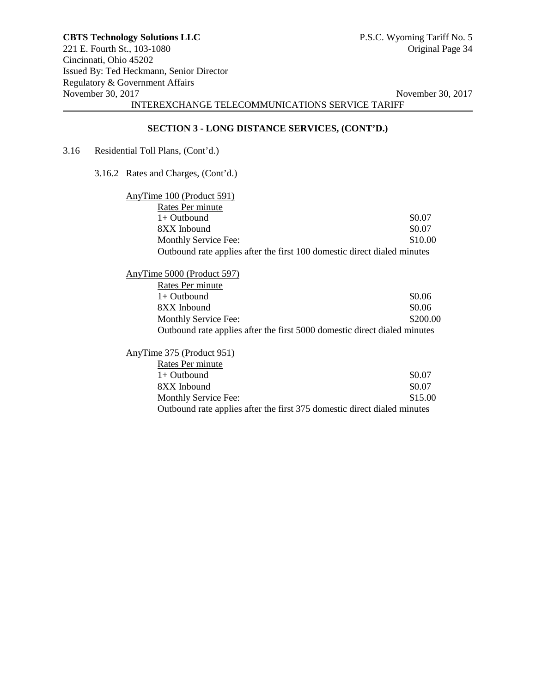# **SECTION 3 - LONG DISTANCE SERVICES, (CONT'D.)**

3.16 Residential Toll Plans, (Cont'd.)

3.16.2 Rates and Charges, (Cont'd.)

| AnyTime 100 (Product 591)                                                |         |
|--------------------------------------------------------------------------|---------|
| Rates Per minute                                                         |         |
| $1+$ Outbound                                                            | \$0.07  |
| 8XX Inbound                                                              | \$0.07  |
| Monthly Service Fee:                                                     | \$10.00 |
| Outbound rate applies after the first 100 domestic direct dialed minutes |         |

| AnyTime 5000 (Product 597)                                                |          |
|---------------------------------------------------------------------------|----------|
| Rates Per minute                                                          |          |
| $1+$ Outbound                                                             | \$0.06   |
| 8XX Inbound                                                               | \$0.06   |
| Monthly Service Fee:                                                      | \$200.00 |
| Outbound rate applies after the first 5000 domestic direct dialed minutes |          |

AnyTime 375 (Product 951)

| Rates Per minute                                                         |         |
|--------------------------------------------------------------------------|---------|
| $1+$ Outbound                                                            | \$0.07  |
| 8XX Inbound                                                              | \$0.07  |
| Monthly Service Fee:                                                     | \$15.00 |
| Outbound rate applies after the first 375 domestic direct dialed minutes |         |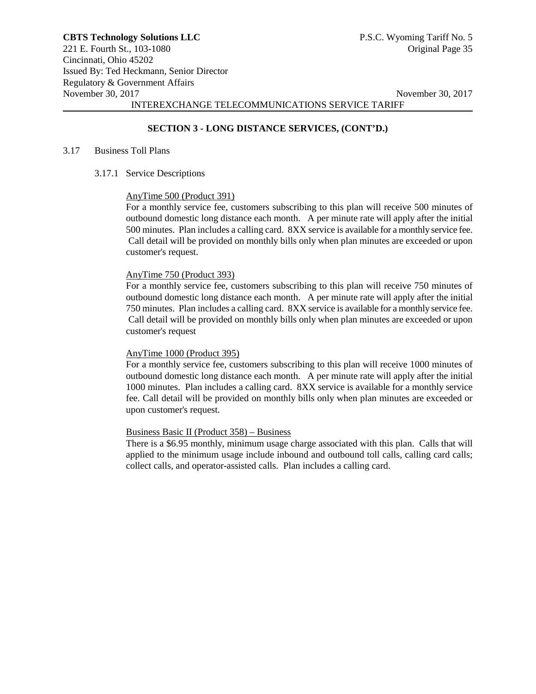# **SECTION 3 - LONG DISTANCE SERVICES, (CONT'D.)**

#### 3.17 Business Toll Plans

3.17.1 Service Descriptions

#### AnyTime 500 (Product 391)

For a monthly service fee, customers subscribing to this plan will receive 500 minutes of outbound domestic long distance each month. A per minute rate will apply after the initial 500 minutes. Plan includes a calling card. 8XX service is available for a monthly service fee. Call detail will be provided on monthly bills only when plan minutes are exceeded or upon customer's request.

#### AnyTime 750 (Product 393)

For a monthly service fee, customers subscribing to this plan will receive 750 minutes of outbound domestic long distance each month. A per minute rate will apply after the initial 750 minutes. Plan includes a calling card. 8XX service is available for a monthly service fee. Call detail will be provided on monthly bills only when plan minutes are exceeded or upon customer's request

# AnyTime 1000 (Product 395)

For a monthly service fee, customers subscribing to this plan will receive 1000 minutes of outbound domestic long distance each month. A per minute rate will apply after the initial 1000 minutes. Plan includes a calling card. 8XX service is available for a monthly service fee. Call detail will be provided on monthly bills only when plan minutes are exceeded or upon customer's request.

#### Business Basic II (Product 358) – Business

There is a \$6.95 monthly, minimum usage charge associated with this plan. Calls that will applied to the minimum usage include inbound and outbound toll calls, calling card calls; collect calls, and operator-assisted calls. Plan includes a calling card.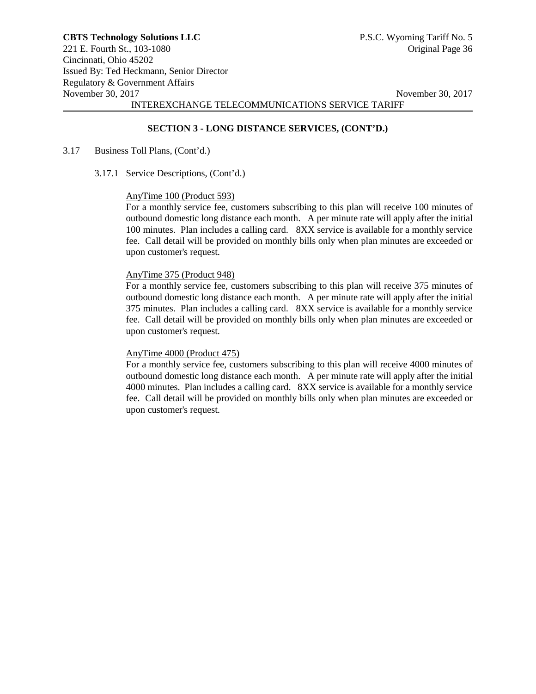## **SECTION 3 - LONG DISTANCE SERVICES, (CONT'D.)**

#### 3.17 Business Toll Plans, (Cont'd.)

3.17.1 Service Descriptions, (Cont'd.)

#### AnyTime 100 (Product 593)

For a monthly service fee, customers subscribing to this plan will receive 100 minutes of outbound domestic long distance each month. A per minute rate will apply after the initial 100 minutes. Plan includes a calling card. 8XX service is available for a monthly service fee. Call detail will be provided on monthly bills only when plan minutes are exceeded or upon customer's request.

# AnyTime 375 (Product 948)

For a monthly service fee, customers subscribing to this plan will receive 375 minutes of outbound domestic long distance each month. A per minute rate will apply after the initial 375 minutes. Plan includes a calling card. 8XX service is available for a monthly service fee. Call detail will be provided on monthly bills only when plan minutes are exceeded or upon customer's request.

#### AnyTime 4000 (Product 475)

For a monthly service fee, customers subscribing to this plan will receive 4000 minutes of outbound domestic long distance each month. A per minute rate will apply after the initial 4000 minutes. Plan includes a calling card. 8XX service is available for a monthly service fee. Call detail will be provided on monthly bills only when plan minutes are exceeded or upon customer's request.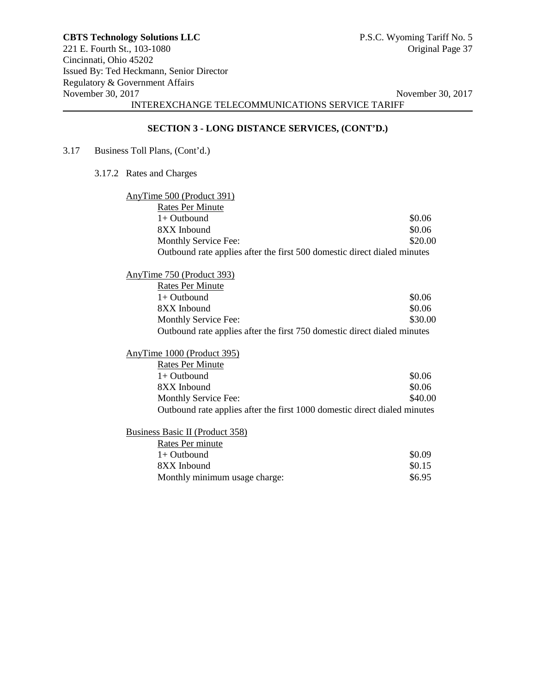# **SECTION 3 - LONG DISTANCE SERVICES, (CONT'D.)**

- 3.17 Business Toll Plans, (Cont'd.)
	- 3.17.2 Rates and Charges

| AnyTime 500 (Product 391)                                                 |         |
|---------------------------------------------------------------------------|---------|
| <b>Rates Per Minute</b>                                                   |         |
| $1+$ Outbound                                                             | \$0.06  |
| 8XX Inbound                                                               | \$0.06  |
| Monthly Service Fee:                                                      | \$20.00 |
| Outbound rate applies after the first 500 domestic direct dialed minutes  |         |
| AnyTime 750 (Product 393)                                                 |         |
| <b>Rates Per Minute</b>                                                   |         |
| $1+$ Outbound                                                             | \$0.06  |
| 8XX Inbound                                                               | \$0.06  |
| Monthly Service Fee:                                                      | \$30.00 |
| Outbound rate applies after the first 750 domestic direct dialed minutes  |         |
| AnyTime 1000 (Product 395)                                                |         |
| <b>Rates Per Minute</b>                                                   |         |
| $1+$ Outbound                                                             | \$0.06  |
| 8XX Inbound                                                               | \$0.06  |
| Monthly Service Fee:                                                      | \$40.00 |
| Outbound rate applies after the first 1000 domestic direct dialed minutes |         |
| <b>Business Basic II (Product 358)</b>                                    |         |
| Rates Per minute                                                          |         |
| $1+$ Outbound                                                             | \$0.09  |
| 8XX Inbound                                                               | \$0.15  |
| Monthly minimum usage charge:                                             | \$6.95  |
|                                                                           |         |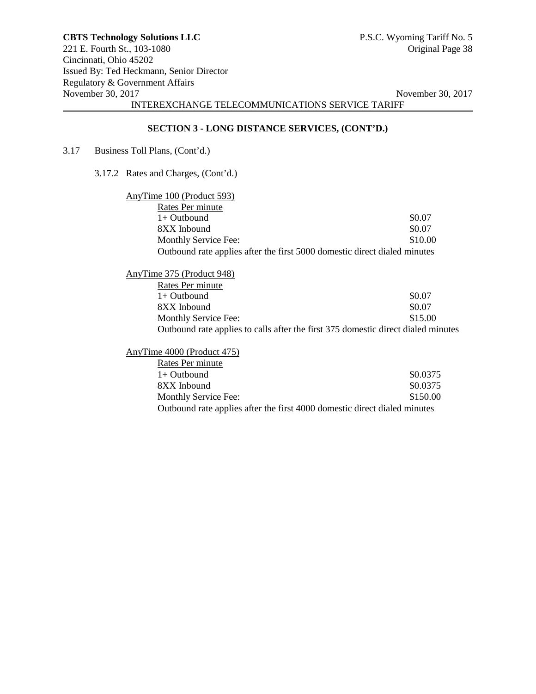# **SECTION 3 - LONG DISTANCE SERVICES, (CONT'D.)**

3.17 Business Toll Plans, (Cont'd.)

3.17.2 Rates and Charges, (Cont'd.)

| AnyTime 100 (Product 593)                                                 |         |
|---------------------------------------------------------------------------|---------|
| Rates Per minute                                                          |         |
| $1+$ Outbound                                                             | \$0.07  |
| 8XX Inbound                                                               | \$0.07  |
| Monthly Service Fee:                                                      | \$10.00 |
| Outbound rate applies after the first 5000 domestic direct dialed minutes |         |

| AnyTime 375 (Product 948)                                                         |         |
|-----------------------------------------------------------------------------------|---------|
| Rates Per minute                                                                  |         |
| $1+$ Outbound                                                                     | \$0.07  |
| 8XX Inbound                                                                       | \$0.07  |
| Monthly Service Fee:                                                              | \$15.00 |
| Outbound rate applies to calls after the first 375 domestic direct dialed minutes |         |

AnyTime 4000 (Product 475)

| Rates Per minute                                                          |          |
|---------------------------------------------------------------------------|----------|
| $1+$ Outbound                                                             | \$0.0375 |
| 8XX Inbound                                                               | \$0.0375 |
| Monthly Service Fee:                                                      | \$150.00 |
| Outbound rate applies after the first 4000 domestic direct dialed minutes |          |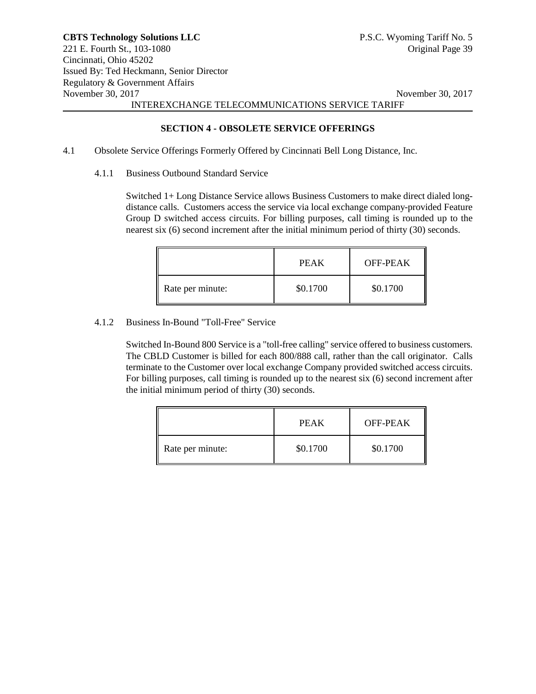**SECTION 4 - OBSOLETE SERVICE OFFERINGS**

- 4.1 Obsolete Service Offerings Formerly Offered by Cincinnati Bell Long Distance, Inc.
	- 4.1.1 Business Outbound Standard Service

Switched 1+ Long Distance Service allows Business Customers to make direct dialed longdistance calls. Customers access the service via local exchange company-provided Feature Group D switched access circuits. For billing purposes, call timing is rounded up to the nearest six (6) second increment after the initial minimum period of thirty (30) seconds.

|                  | PEAK     | OFF-PEAK |
|------------------|----------|----------|
| Rate per minute: | \$0.1700 | \$0.1700 |

#### 4.1.2 Business In-Bound "Toll-Free" Service

Switched In-Bound 800 Service is a "toll-free calling" service offered to business customers. The CBLD Customer is billed for each 800/888 call, rather than the call originator. Calls terminate to the Customer over local exchange Company provided switched access circuits. For billing purposes, call timing is rounded up to the nearest six (6) second increment after the initial minimum period of thirty (30) seconds.

|                  | PEAK     | OFF-PEAK |
|------------------|----------|----------|
| Rate per minute: | \$0.1700 | \$0.1700 |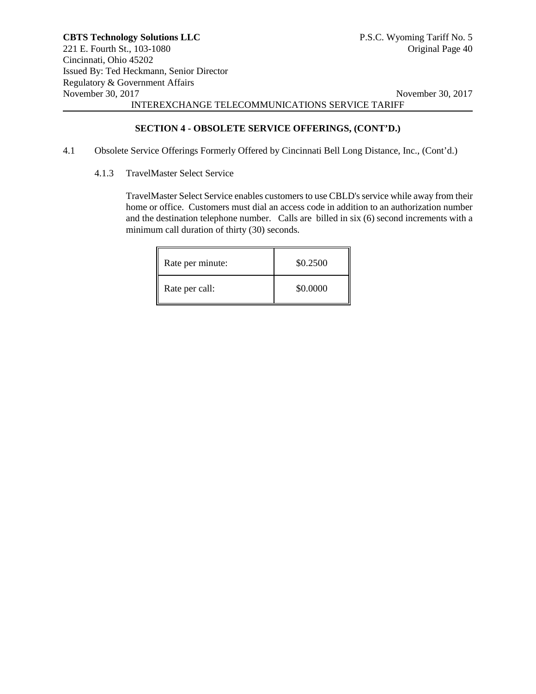## **SECTION 4 - OBSOLETE SERVICE OFFERINGS, (CONT'D.)**

- 4.1 Obsolete Service Offerings Formerly Offered by Cincinnati Bell Long Distance, Inc., (Cont'd.)
	- 4.1.3 TravelMaster Select Service

TravelMaster Select Service enables customers to use CBLD's service while away from their home or office. Customers must dial an access code in addition to an authorization number and the destination telephone number. Calls are billed in six (6) second increments with a minimum call duration of thirty (30) seconds.

| Rate per minute: | \$0.2500 |
|------------------|----------|
| Rate per call:   | \$0.0000 |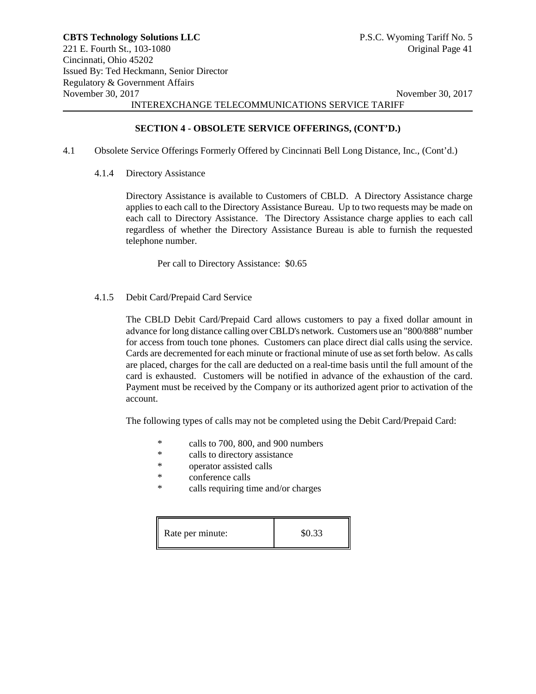# **SECTION 4 - OBSOLETE SERVICE OFFERINGS, (CONT'D.)**

- 4.1 Obsolete Service Offerings Formerly Offered by Cincinnati Bell Long Distance, Inc., (Cont'd.)
	- 4.1.4 Directory Assistance

Directory Assistance is available to Customers of CBLD. A Directory Assistance charge applies to each call to the Directory Assistance Bureau. Up to two requests may be made on each call to Directory Assistance. The Directory Assistance charge applies to each call regardless of whether the Directory Assistance Bureau is able to furnish the requested telephone number.

Per call to Directory Assistance: \$0.65

4.1.5 Debit Card/Prepaid Card Service

The CBLD Debit Card/Prepaid Card allows customers to pay a fixed dollar amount in advance for long distance calling over CBLD's network. Customers use an "800/888" number for access from touch tone phones. Customers can place direct dial calls using the service. Cards are decremented for each minute or fractional minute of use as set forth below. As calls are placed, charges for the call are deducted on a real-time basis until the full amount of the card is exhausted. Customers will be notified in advance of the exhaustion of the card. Payment must be received by the Company or its authorized agent prior to activation of the account.

The following types of calls may not be completed using the Debit Card/Prepaid Card:

- \* calls to 700, 800, and 900 numbers<br>\* calls to directory assistance
- calls to directory assistance
- \* operator assisted calls
- \* conference calls<br>\* calls requiring times
- calls requiring time and/or charges

Rate per minute:  $$0.33$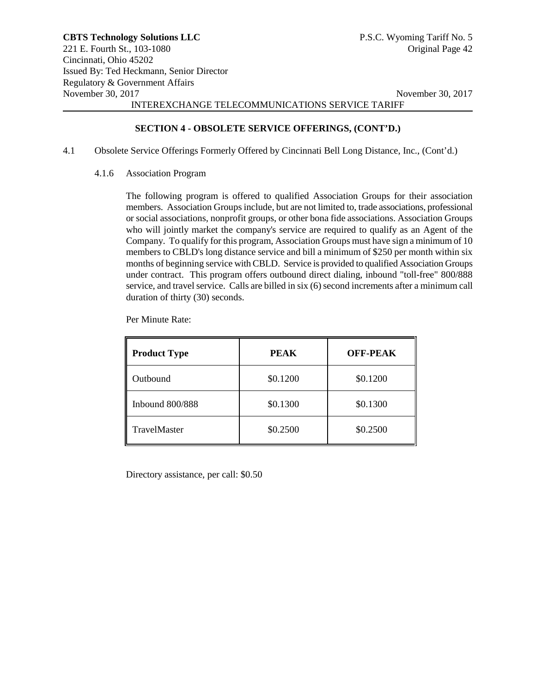#### **SECTION 4 - OBSOLETE SERVICE OFFERINGS, (CONT'D.)**

- 4.1 Obsolete Service Offerings Formerly Offered by Cincinnati Bell Long Distance, Inc., (Cont'd.)
	- 4.1.6 Association Program

The following program is offered to qualified Association Groups for their association members. Association Groups include, but are not limited to, trade associations, professional or social associations, nonprofit groups, or other bona fide associations. Association Groups who will jointly market the company's service are required to qualify as an Agent of the Company. To qualify for this program, Association Groups must have sign a minimum of 10 members to CBLD's long distance service and bill a minimum of \$250 per month within six months of beginning service with CBLD. Service is provided to qualified Association Groups under contract. This program offers outbound direct dialing, inbound "toll-free" 800/888 service, and travel service. Calls are billed in six (6) second increments after a minimum call duration of thirty (30) seconds.

Per Minute Rate:

| <b>Product Type</b> | <b>PEAK</b> | <b>OFF-PEAK</b> |
|---------------------|-------------|-----------------|
| Outbound            | \$0.1200    | \$0.1200        |
| Inbound $800/888$   | \$0.1300    | \$0.1300        |
| <b>TravelMaster</b> | \$0.2500    | \$0.2500        |

Directory assistance, per call: \$0.50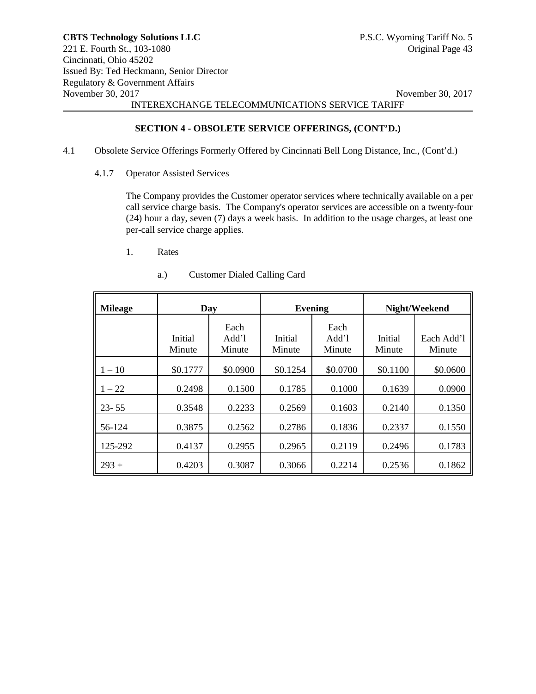## **SECTION 4 - OBSOLETE SERVICE OFFERINGS, (CONT'D.)**

- 4.1 Obsolete Service Offerings Formerly Offered by Cincinnati Bell Long Distance, Inc., (Cont'd.)
	- 4.1.7 Operator Assisted Services

The Company provides the Customer operator services where technically available on a per call service charge basis. The Company's operator services are accessible on a twenty-four (24) hour a day, seven (7) days a week basis. In addition to the usage charges, at least one per-call service charge applies.

1. Rates

| <b>Mileage</b> | Day               |                         | <b>Evening</b>    |                         |                   | Night/Weekend        |
|----------------|-------------------|-------------------------|-------------------|-------------------------|-------------------|----------------------|
|                | Initial<br>Minute | Each<br>Add'l<br>Minute | Initial<br>Minute | Each<br>Add'l<br>Minute | Initial<br>Minute | Each Add'l<br>Minute |
| $1 - 10$       | \$0.1777          | \$0.0900                | \$0.1254          | \$0.0700                | \$0.1100          | \$0.0600             |
| $1 - 22$       | 0.2498            | 0.1500                  | 0.1785            | 0.1000                  | 0.1639            | 0.0900               |
| $23 - 55$      | 0.3548            | 0.2233                  | 0.2569            | 0.1603                  | 0.2140            | 0.1350               |
| 56-124         | 0.3875            | 0.2562                  | 0.2786            | 0.1836                  | 0.2337            | 0.1550               |
| 125-292        | 0.4137            | 0.2955                  | 0.2965            | 0.2119                  | 0.2496            | 0.1783               |
| $293 +$        | 0.4203            | 0.3087                  | 0.3066            | 0.2214                  | 0.2536            | 0.1862               |

a.) Customer Dialed Calling Card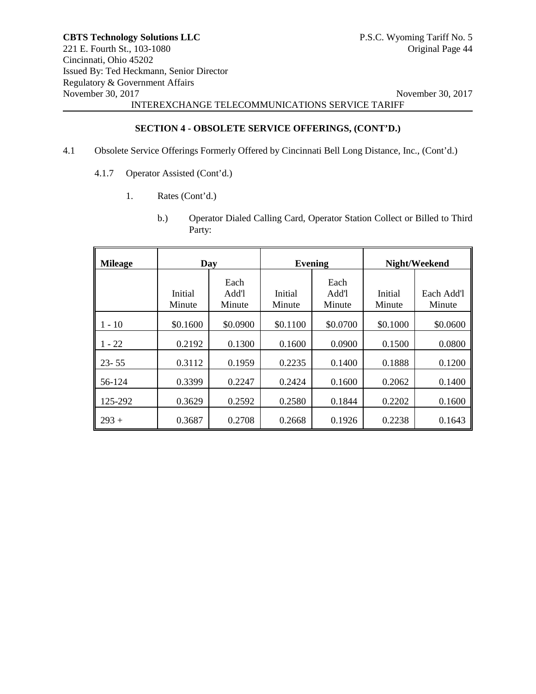# **SECTION 4 - OBSOLETE SERVICE OFFERINGS, (CONT'D.)**

- 4.1 Obsolete Service Offerings Formerly Offered by Cincinnati Bell Long Distance, Inc., (Cont'd.)
	- 4.1.7 Operator Assisted (Cont'd.)
		- 1. Rates (Cont'd.)
			- b.) Operator Dialed Calling Card, Operator Station Collect or Billed to Third Party:

| <b>Mileage</b> | Day               |                         | <b>Evening</b>    |                         |                   | Night/Weekend        |
|----------------|-------------------|-------------------------|-------------------|-------------------------|-------------------|----------------------|
|                | Initial<br>Minute | Each<br>Add'l<br>Minute | Initial<br>Minute | Each<br>Add'l<br>Minute | Initial<br>Minute | Each Add'l<br>Minute |
| $1 - 10$       | \$0.1600          | \$0.0900                | \$0.1100          | \$0.0700                | \$0.1000          | \$0.0600             |
| $1 - 22$       | 0.2192            | 0.1300                  | 0.1600            | 0.0900                  | 0.1500            | 0.0800               |
| $23 - 55$      | 0.3112            | 0.1959                  | 0.2235            | 0.1400                  | 0.1888            | 0.1200               |
| 56-124         | 0.3399            | 0.2247                  | 0.2424            | 0.1600                  | 0.2062            | 0.1400               |
| 125-292        | 0.3629            | 0.2592                  | 0.2580            | 0.1844                  | 0.2202            | 0.1600               |
| $293 +$        | 0.3687            | 0.2708                  | 0.2668            | 0.1926                  | 0.2238            | 0.1643               |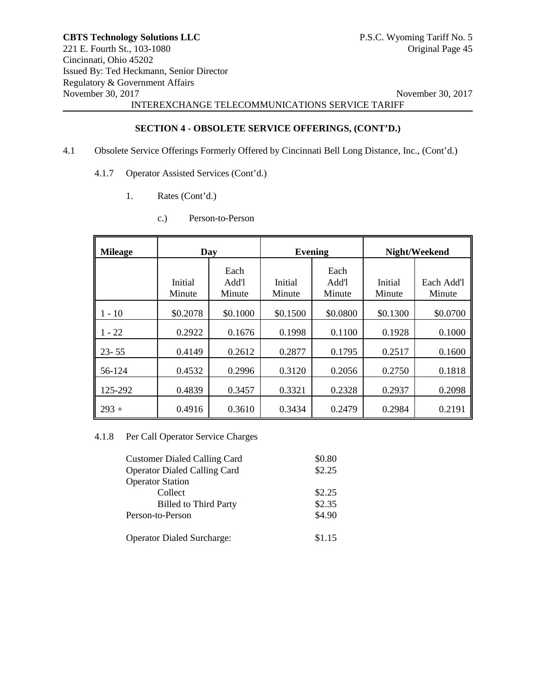# **SECTION 4 - OBSOLETE SERVICE OFFERINGS, (CONT'D.)**

- 4.1 Obsolete Service Offerings Formerly Offered by Cincinnati Bell Long Distance, Inc., (Cont'd.)
	- 4.1.7 Operator Assisted Services (Cont'd.)
		- 1. Rates (Cont'd.)
			- c.) Person-to-Person

| <b>Mileage</b> | Day               |                         | <b>Evening</b>    |                         |                   | Night/Weekend        |
|----------------|-------------------|-------------------------|-------------------|-------------------------|-------------------|----------------------|
|                | Initial<br>Minute | Each<br>Add'l<br>Minute | Initial<br>Minute | Each<br>Add'l<br>Minute | Initial<br>Minute | Each Add'l<br>Minute |
| $-10$          | \$0.2078          | \$0.1000                | \$0.1500          | \$0.0800                | \$0.1300          | \$0.0700             |
| $-22$          | 0.2922            | 0.1676                  | 0.1998            | 0.1100                  | 0.1928            | 0.1000               |
| $23 - 55$      | 0.4149            | 0.2612                  | 0.2877            | 0.1795                  | 0.2517            | 0.1600               |
| 56-124         | 0.4532            | 0.2996                  | 0.3120            | 0.2056                  | 0.2750            | 0.1818               |
| 125-292        | 0.4839            | 0.3457                  | 0.3321            | 0.2328                  | 0.2937            | 0.2098               |
| $293 +$        | 0.4916            | 0.3610                  | 0.3434            | 0.2479                  | 0.2984            | 0.2191               |

4.1.8 Per Call Operator Service Charges

| <b>Customer Dialed Calling Card</b><br><b>Operator Dialed Calling Card</b> | \$0.80<br>\$2.25 |
|----------------------------------------------------------------------------|------------------|
| <b>Operator Station</b>                                                    |                  |
| Collect                                                                    | \$2.25           |
| <b>Billed to Third Party</b>                                               | \$2.35           |
| Person-to-Person                                                           | \$4.90           |
|                                                                            |                  |
| <b>Operator Dialed Surcharge:</b>                                          | \$1.15           |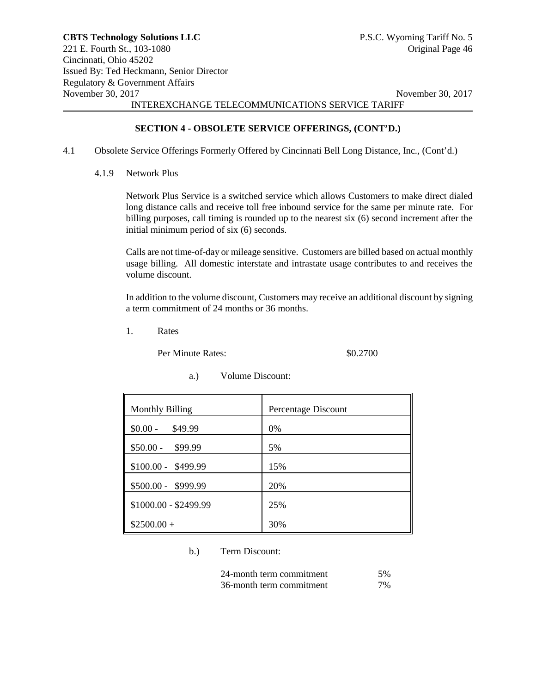# **SECTION 4 - OBSOLETE SERVICE OFFERINGS, (CONT'D.)**

- 4.1 Obsolete Service Offerings Formerly Offered by Cincinnati Bell Long Distance, Inc., (Cont'd.)
	- 4.1.9 Network Plus

Network Plus Service is a switched service which allows Customers to make direct dialed long distance calls and receive toll free inbound service for the same per minute rate. For billing purposes, call timing is rounded up to the nearest six (6) second increment after the initial minimum period of six (6) seconds.

Calls are not time-of-day or mileage sensitive. Customers are billed based on actual monthly usage billing. All domestic interstate and intrastate usage contributes to and receives the volume discount.

In addition to the volume discount, Customers may receive an additional discount by signing a term commitment of 24 months or 36 months.

1. Rates

Per Minute Rates:  $$0.2700$ 

| <b>Monthly Billing</b> | Percentage Discount |
|------------------------|---------------------|
| $$0.00 -$<br>\$49.99   | 0%                  |
| $$50.00 - $99.99$      | 5%                  |
| $$100.00 - $499.99$    | 15%                 |
| $$500.00 - $999.99$    | 20%                 |
| $$1000.00 - $2499.99$  | 25%                 |
| $$2500.00+$            | 30%                 |

a.) Volume Discount:

b.) Term Discount:

| 24-month term commitment | .5% |
|--------------------------|-----|
| 36-month term commitment | 7%  |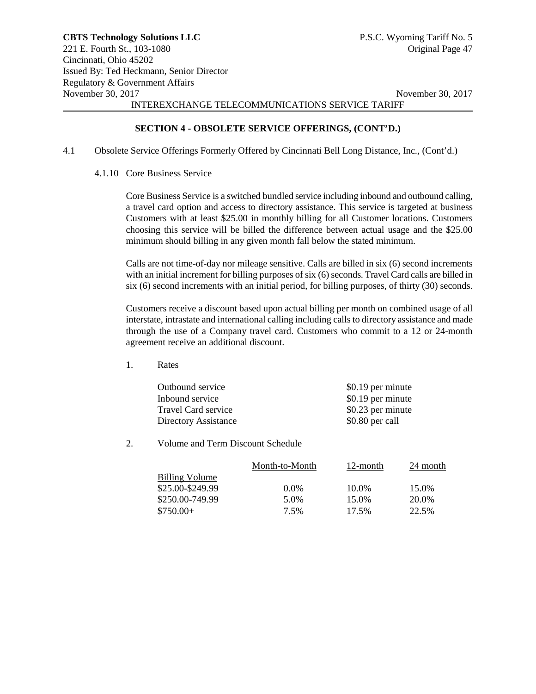# **SECTION 4 - OBSOLETE SERVICE OFFERINGS, (CONT'D.)**

- 4.1 Obsolete Service Offerings Formerly Offered by Cincinnati Bell Long Distance, Inc., (Cont'd.)
	- 4.1.10 Core Business Service

Core Business Service is a switched bundled service including inbound and outbound calling, a travel card option and access to directory assistance. This service is targeted at business Customers with at least \$25.00 in monthly billing for all Customer locations. Customers choosing this service will be billed the difference between actual usage and the \$25.00 minimum should billing in any given month fall below the stated minimum.

Calls are not time-of-day nor mileage sensitive. Calls are billed in six (6) second increments with an initial increment for billing purposes of six (6) seconds. Travel Card calls are billed in six (6) second increments with an initial period, for billing purposes, of thirty (30) seconds.

Customers receive a discount based upon actual billing per month on combined usage of all interstate, intrastate and international calling including calls to directory assistance and made through the use of a Company travel card. Customers who commit to a 12 or 24-month agreement receive an additional discount.

1. Rates

| Outbound service     | \$0.19 per minute |
|----------------------|-------------------|
| Inbound service      | \$0.19 per minute |
| Travel Card service  | \$0.23 per minute |
| Directory Assistance | \$0.80 per call   |

2. Volume and Term Discount Schedule

|                       | Month-to-Month | 12-month | 24 month |
|-----------------------|----------------|----------|----------|
| <b>Billing Volume</b> |                |          |          |
| \$25.00-\$249.99      | $0.0\%$        | 10.0%    | 15.0%    |
| \$250.00-749.99       | 5.0%           | 15.0%    | 20.0%    |
| $$750.00+$            | 7.5%           | 17.5%    | 22.5%    |